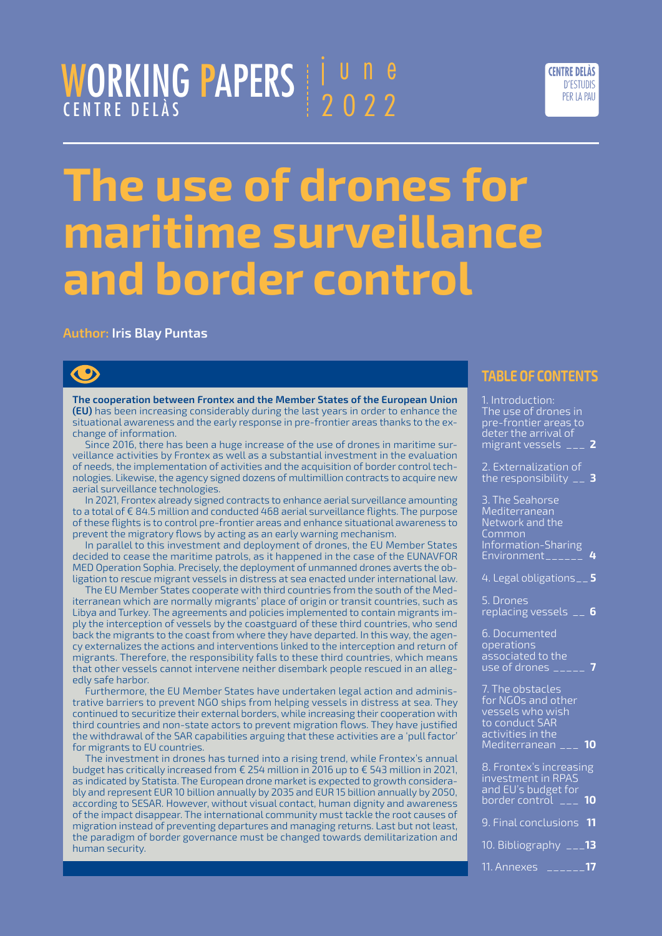#### WORKING PAPERS CENTRE DELÀS june 2022



# **The use of drones for maritime surveillance and border control**

#### **Author: Iris Blay Puntas**

### $\bullet$

**The cooperation between Frontex and the Member States of the European Union (EU)** has been increasing considerably during the last years in order to enhance the situational awareness and the early response in pre-frontier areas thanks to the exchange of information.

Since 2016, there has been a huge increase of the use of drones in maritime surveillance activities by Frontex as well as a substantial investment in the evaluation of needs, the implementation of activities and the acquisition of border control technologies. Likewise, the agency signed dozens of multimillion contracts to acquire new aerial surveillance technologies.

In 2021, Frontex already signed contracts to enhance aerial surveillance amounting to a total of € 84.5 million and conducted 468 aerial surveillance flights. The purpose of these flights is to control pre-frontier areas and enhance situational awareness to prevent the migratory flows by acting as an early warning mechanism.

In parallel to this investment and deployment of drones, the EU Member States decided to cease the maritime patrols, as it happened in the case of the EUNAVFOR MED Operation Sophia. Precisely, the deployment of unmanned drones averts the obligation to rescue migrant vessels in distress at sea enacted under international law.

The EU Member States cooperate with third countries from the south of the Mediterranean which are normally migrants' place of origin or transit countries, such as Libya and Turkey. The agreements and policies implemented to contain migrants imply the interception of vessels by the coastguard of these third countries, who send back the migrants to the coast from where they have departed. In this way, the agency externalizes the actions and interventions linked to the interception and return of migrants. Therefore, the responsibility falls to these third countries, which means that other vessels cannot intervene neither disembark people rescued in an allegedly safe harbor.

Furthermore, the EU Member States have undertaken legal action and administrative barriers to prevent NGO ships from helping vessels in distress at sea. They continued to securitize their external borders, while increasing their cooperation with third countries and non-state actors to prevent migration flows. They have justified the withdrawal of the SAR capabilities arguing that these activities are a 'pull factor' for migrants to EU countries.

The investment in drones has turned into a rising trend, while Frontex's annual budget has critically increased from  $\epsilon$  254 million in 2016 up to  $\epsilon$  543 million in 2021, as indicated by Statista. The European drone market is expected to growth considerably and represent EUR 10 billion annually by 2035 and EUR 15 billion annually by 2050, according to SESAR. However, without visual contact, human dignity and awareness of the impact disappear. The international community must tackle the root causes of migration instead of preventing departures and managing returns. Last but not least, the paradigm of border governance must be changed towards demilitarization and human security.

#### **TABLE OF CONTENTS**

| 1. Introduction:<br>The use of drones in<br>pre-frontier areas to<br>deter the arrival of<br>$m$ igrant vessels $\overline{\phantom{a}^{2}-1}$<br>2 |  |
|-----------------------------------------------------------------------------------------------------------------------------------------------------|--|
| 2. Externalization of<br>the responsibility $\overline{\phantom{a}}$<br>-3                                                                          |  |
| 3. The Seahorse<br>Mediterranean<br>Network and the<br>Common<br>Information-Sharing<br>Environment______<br>4                                      |  |
| 4. Legal obligations__5                                                                                                                             |  |
| 5. Drones<br>replacing vessels __ 6                                                                                                                 |  |
| 6. Documented<br>operations<br>associated to the<br><u>use</u> of drones _____                                                                      |  |
| 7. The obstacles<br>for NGOs and other<br>vessels who wish<br>to conduct SAR<br>activities in the<br>10<br>Mediterranean ___                        |  |
| 8. Frontex's increasing<br>investment in RPAS<br>and EU's budget for<br>border control ___<br>10                                                    |  |
| 9. Final conclusions<br>11                                                                                                                          |  |

- [10. Bibliography](#page-12-0) \_\_\_**13**
- [11. Annexes \\_\\_\\_\\_\\_\\_](#page-16-0)**17**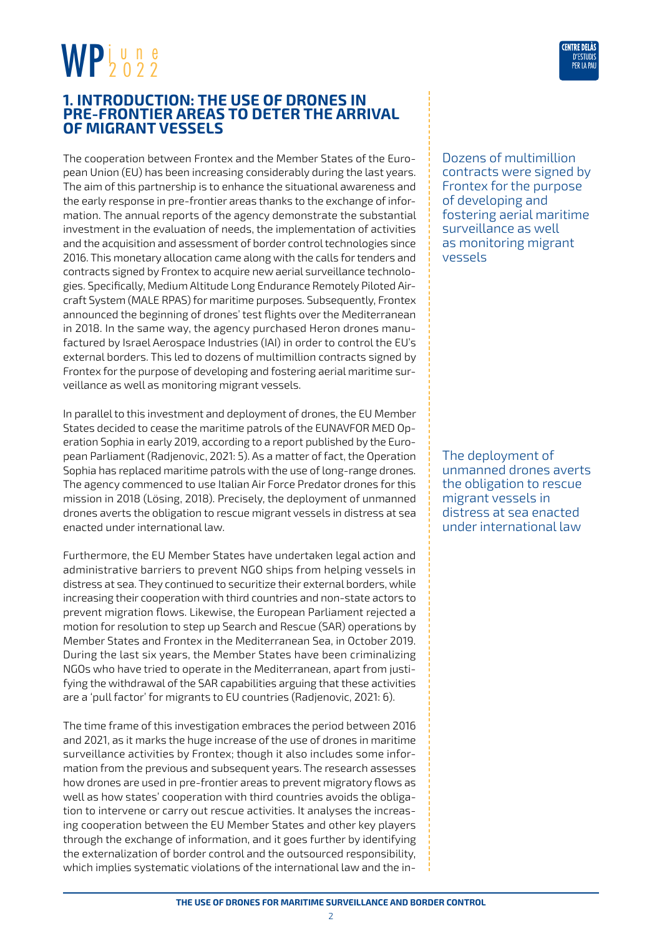#### <span id="page-1-0"></span>**1. INTRODUCTION: THE USE OF DRONES IN PRE-FRONTIER AREAS TO DETER THE ARRIVAL OF MIGRANT VESSELS**

The cooperation between Frontex and the Member States of the European Union (EU) has been increasing considerably during the last years. The aim of this partnership is to enhance the situational awareness and the early response in pre-frontier areas thanks to the exchange of information. The annual reports of the agency demonstrate the substantial investment in the evaluation of needs, the implementation of activities and the acquisition and assessment of border control technologies since 2016. This monetary allocation came along with the calls for tenders and contracts signed by Frontex to acquire new aerial surveillance technologies. Specifically, Medium Altitude Long Endurance Remotely Piloted Aircraft System (MALE RPAS) for maritime purposes. Subsequently, Frontex announced the beginning of drones' test flights over the Mediterranean in 2018. In the same way, the agency purchased Heron drones manufactured by Israel Aerospace Industries (IAI) in order to control the EU's external borders. This led to dozens of multimillion contracts signed by Frontex for the purpose of developing and fostering aerial maritime surveillance as well as monitoring migrant vessels.

In parallel to this investment and deployment of drones, the EU Member States decided to cease the maritime patrols of the EUNAVFOR MED Operation Sophia in early 2019, according to a report published by the European Parliament (Radjenovic, 2021: 5). As a matter of fact, the Operation Sophia has replaced maritime patrols with the use of long-range drones. The agency commenced to use Italian Air Force Predator drones for this mission in 2018 (Lösing, 2018). Precisely, the deployment of unmanned drones averts the obligation to rescue migrant vessels in distress at sea enacted under international law.

Furthermore, the EU Member States have undertaken legal action and administrative barriers to prevent NGO ships from helping vessels in distress at sea. They continued to securitize their external borders, while increasing their cooperation with third countries and non-state actors to prevent migration flows. Likewise, the European Parliament rejected a motion for resolution to step up Search and Rescue (SAR) operations by Member States and Frontex in the Mediterranean Sea, in October 2019. During the last six years, the Member States have been criminalizing NGOs who have tried to operate in the Mediterranean, apart from justifying the withdrawal of the SAR capabilities arguing that these activities are a 'pull factor' for migrants to EU countries (Radjenovic, 2021: 6).

The time frame of this investigation embraces the period between 2016 and 2021, as it marks the huge increase of the use of drones in maritime surveillance activities by Frontex; though it also includes some information from the previous and subsequent years. The research assesses how drones are used in pre-frontier areas to prevent migratory flows as well as how states' cooperation with third countries avoids the obligation to intervene or carry out rescue activities. It analyses the increasing cooperation between the EU Member States and other key players through the exchange of information, and it goes further by identifying the externalization of border control and the outsourced responsibility, which implies systematic violations of the international law and the in-



Dozens of multimillion contracts were signed by Frontex for the purpose of developing and fostering aerial maritime surveillance as well as monitoring migrant vessels

The deployment of unmanned drones averts the obligation to rescue migrant vessels in distress at sea enacted under international law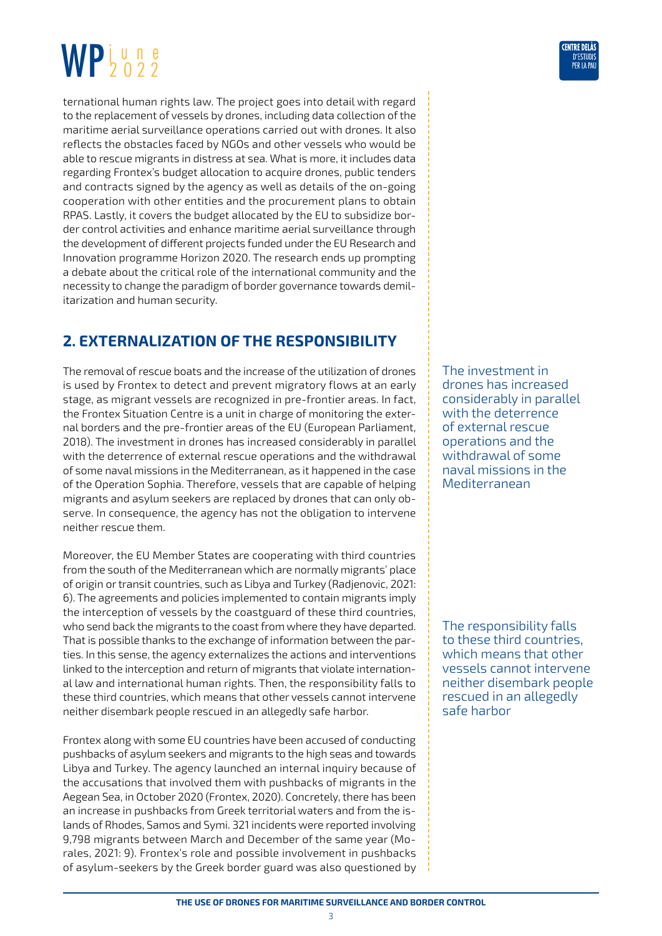<span id="page-2-0"></span>ternational human rights law. The project goes into detail with regard to the replacement of vessels by drones, including data collection of the maritime aerial surveillance operations carried out with drones. It also reflects the obstacles faced by NGOs and other vessels who would be able to rescue migrants in distress at sea. What is more, it includes data regarding Frontex's budget allocation to acquire drones, public tenders and contracts signed by the agency as well as details of the on-going cooperation with other entities and the procurement plans to obtain RPAS. Lastly, it covers the budget allocated by the EU to subsidize border control activities and enhance maritime aerial surveillance through the development of different projects funded under the EU Research and Innovation programme Horizon 2020. The research ends up prompting a debate about the critical role of the international community and the necessity to change the paradigm of border governance towards demilitarization and human security.

### **2. EXTERNALIZATION OF THE RESPONSIBILITY**

The removal of rescue boats and the increase of the utilization of drones is used by Frontex to detect and prevent migratory flows at an early stage, as migrant vessels are recognized in pre-frontier areas. In fact, the Frontex Situation Centre is a unit in charge of monitoring the external borders and the pre-frontier areas of the EU (European Parliament, 2018). The investment in drones has increased considerably in parallel with the deterrence of external rescue operations and the withdrawal of some naval missions in the Mediterranean, as it happened in the case of the Operation Sophia. Therefore, vessels that are capable of helping migrants and asylum seekers are replaced by drones that can only observe. In consequence, the agency has not the obligation to intervene neither rescue them.

Moreover, the EU Member States are cooperating with third countries from the south of the Mediterranean which are normally migrants' place of origin or transit countries, such as Libya and Turkey (Radjenovic, 2021: 6). The agreements and policies implemented to contain migrants imply the interception of vessels by the coastguard of these third countries, who send back the migrants to the coast from where they have departed. That is possible thanks to the exchange of information between the parties. In this sense, the agency externalizes the actions and interventions linked to the interception and return of migrants that violate international law and international human rights. Then, the responsibility falls to these third countries, which means that other vessels cannot intervene neither disembark people rescued in an allegedly safe harbor.

Frontex along with some EU countries have been accused of conducting pushbacks of asylum seekers and migrants to the high seas and towards Libya and Turkey. The agency launched an internal inquiry because of the accusations that involved them with pushbacks of migrants in the Aegean Sea, in October 2020 (Frontex, 2020). Concretely, there has been an increase in pushbacks from Greek territorial waters and from the islands of Rhodes, Samos and Symi. 321 incidents were reported involving 9,798 migrants between March and December of the same year (Morales, 2021: 9). Frontex's role and possible involvement in pushbacks of asylum-seekers by the Greek border guard was also questioned by The investment in drones has increased considerably in parallel with the deterrence of external rescue operations and the withdrawal of some naval missions in the Mediterranean

The responsibility falls to these third countries, which means that other vessels cannot intervene neither disembark people rescued in an allegedly safe harbor

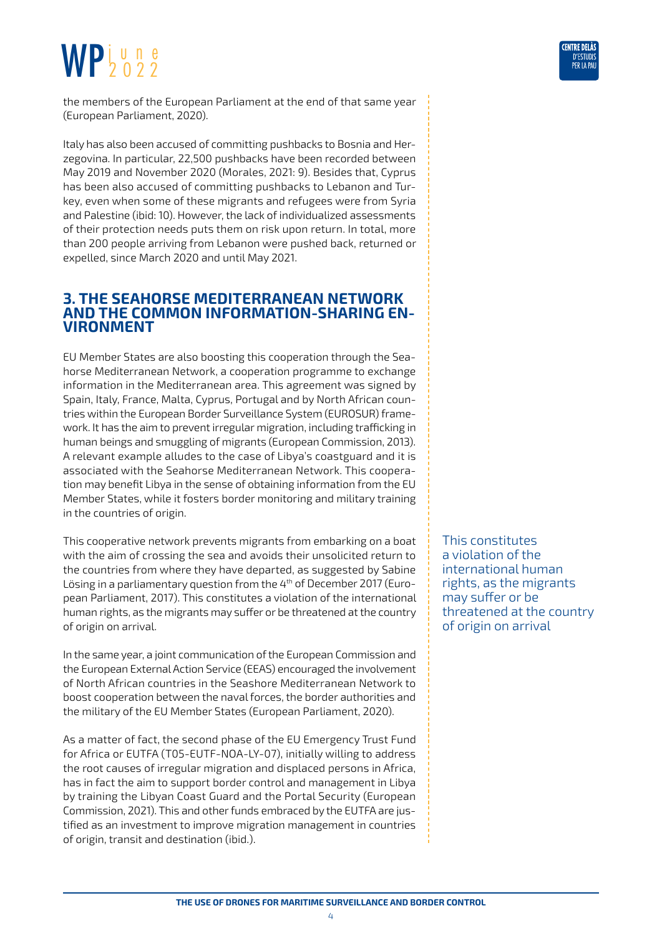<span id="page-3-0"></span>the members of the European Parliament at the end of that same year (European Parliament, 2020).

Italy has also been accused of committing pushbacks to Bosnia and Herzegovina. In particular, 22,500 pushbacks have been recorded between May 2019 and November 2020 (Morales, 2021: 9). Besides that, Cyprus has been also accused of committing pushbacks to Lebanon and Turkey, even when some of these migrants and refugees were from Syria and Palestine (ibid: 10). However, the lack of individualized assessments of their protection needs puts them on risk upon return. In total, more than 200 people arriving from Lebanon were pushed back, returned or expelled, since March 2020 and until May 2021.

### **3. THE SEAHORSE MEDITERRANEAN NETWORK AND THE COMMON INFORMATION-SHARING EN- VIRONMENT**

EU Member States are also boosting this cooperation through the Seahorse Mediterranean Network, a cooperation programme to exchange information in the Mediterranean area. This agreement was signed by Spain, Italy, France, Malta, Cyprus, Portugal and by North African countries within the European Border Surveillance System (EUROSUR) framework. It has the aim to prevent irregular migration, including trafficking in human beings and smuggling of migrants (European Commission, 2013). A relevant example alludes to the case of Libya's coastguard and it is associated with the Seahorse Mediterranean Network. This cooperation may benefit Libya in the sense of obtaining information from the EU Member States, while it fosters border monitoring and military training in the countries of origin.

This cooperative network prevents migrants from embarking on a boat with the aim of crossing the sea and avoids their unsolicited return to the countries from where they have departed, as suggested by Sabine Lösing in a parliamentary question from the 4<sup>th</sup> of December 2017 (European Parliament, 2017). This constitutes a violation of the international human rights, as the migrants may suffer or be threatened at the country of origin on arrival.

In the same year, a joint communication of the European Commission and the European External Action Service (EEAS) encouraged the involvement of North African countries in the Seashore Mediterranean Network to boost cooperation between the naval forces, the border authorities and the military of the EU Member States (European Parliament, 2020).

As a matter of fact, the second phase of the EU Emergency Trust Fund for Africa or EUTFA (T05-EUTF-NOA-LY-07), initially willing to address the root causes of irregular migration and displaced persons in Africa, has in fact the aim to support border control and management in Libya by training the Libyan Coast Guard and the Portal Security (European Commission, 2021). This and other funds embraced by the EUTFA are justified as an investment to improve migration management in countries of origin, transit and destination (ibid.).

This constitutes a violation of the international human rights, as the migrants may suffer or be threatened at the country of origin on arrival

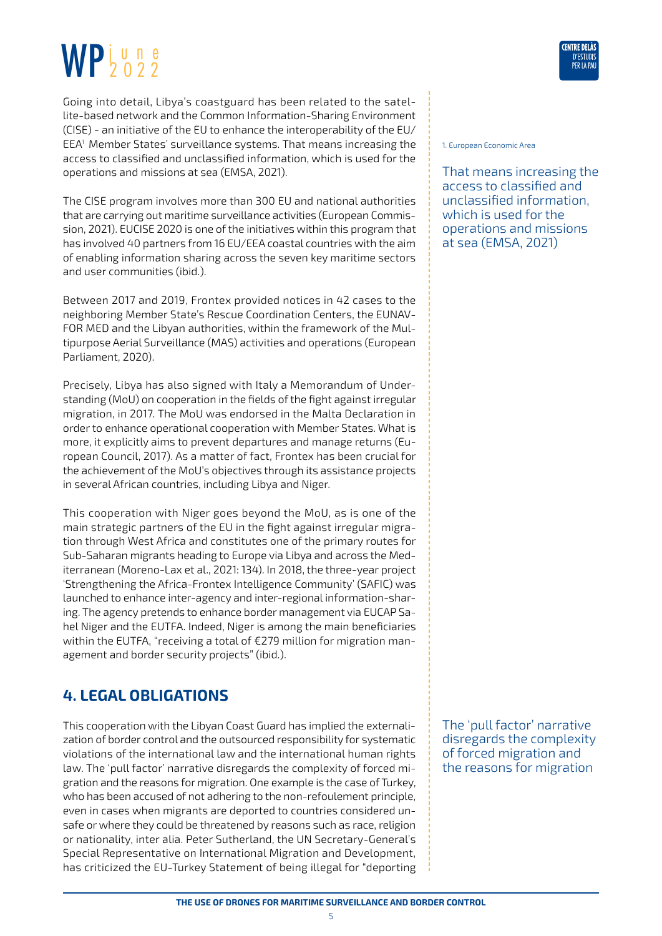<span id="page-4-0"></span>Going into detail, Libya's coastguard has been related to the satellite-based network and the Common Information-Sharing Environment (CISE) - an initiative of the EU to enhance the interoperability of the EU/ EEA1 Member States' surveillance systems. That means increasing the access to classified and unclassified information, which is used for the operations and missions at sea (EMSA, 2021).

The CISE program involves more than 300 EU and national authorities that are carrying out maritime surveillance activities (European Commission, 2021). EUCISE 2020 is one of the initiatives within this program that has involved 40 partners from 16 EU/EEA coastal countries with the aim of enabling information sharing across the seven key maritime sectors and user communities (ibid.).

Between 2017 and 2019, Frontex provided notices in 42 cases to the neighboring Member State's Rescue Coordination Centers, the EUNAV-FOR MED and the Libyan authorities, within the framework of the Multipurpose Aerial Surveillance (MAS) activities and operations (European Parliament, 2020).

Precisely, Libya has also signed with Italy a Memorandum of Understanding (MoU) on cooperation in the fields of the fight against irregular migration, in 2017. The MoU was endorsed in the Malta Declaration in order to enhance operational cooperation with Member States. What is more, it explicitly aims to prevent departures and manage returns (European Council, 2017). As a matter of fact, Frontex has been crucial for the achievement of the MoU's objectives through its assistance projects in several African countries, including Libya and Niger.

This cooperation with Niger goes beyond the MoU, as is one of the main strategic partners of the EU in the fight against irregular migration through West Africa and constitutes one of the primary routes for Sub-Saharan migrants heading to Europe via Libya and across the Mediterranean (Moreno-Lax et al., 2021: 134). In 2018, the three-year project 'Strengthening the Africa-Frontex Intelligence Community' (SAFIC) was launched to enhance inter-agency and inter-regional information-sharing. The agency pretends to enhance border management via EUCAP Sahel Niger and the EUTFA. Indeed, Niger is among the main beneficiaries within the EUTFA, "receiving a total of €279 million for migration management and border security projects" (ibid.).

### **4. LEGAL OBLIGATIONS**

This cooperation with the Libyan Coast Guard has implied the externalization of border control and the outsourced responsibility for systematic violations of the international law and the international human rights law. The 'pull factor' narrative disregards the complexity of forced migration and the reasons for migration. One example is the case of Turkey, who has been accused of not adhering to the non-refoulement principle, even in cases when migrants are deported to countries considered unsafe or where they could be threatened by reasons such as race, religion or nationality, inter alia. Peter Sutherland, the UN Secretary-General's Special Representative on International Migration and Development, has criticized the EU-Turkey Statement of being illegal for "deporting 1. European Economic Area

That means increasing the access to classified and unclassified information, which is used for the operations and missions at sea (EMSA, 2021)

The 'pull factor' narrative disregards the complexity of forced migration and the reasons for migration

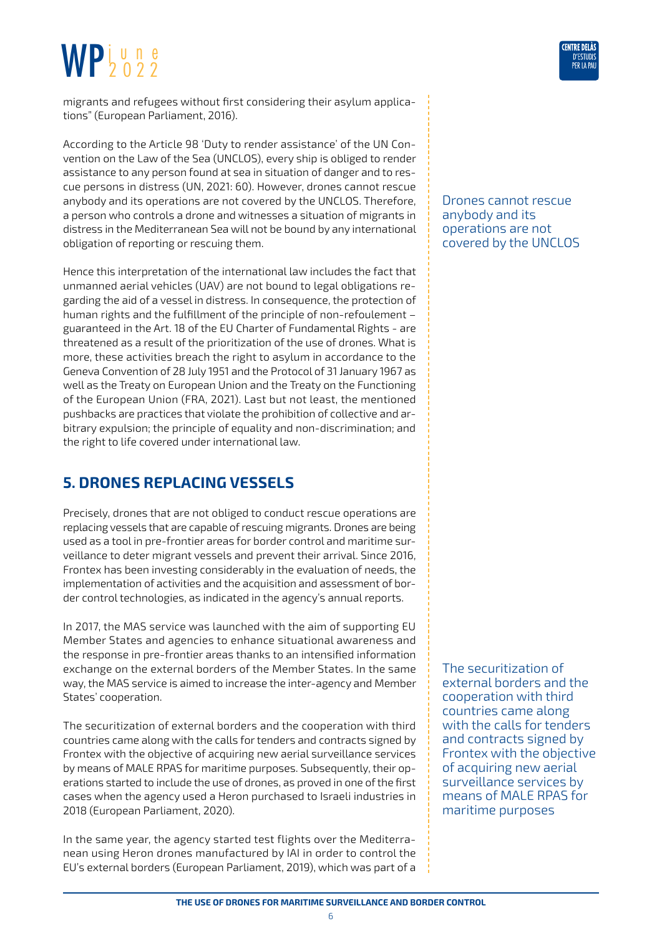<span id="page-5-0"></span>migrants and refugees without first considering their asylum applications" (European Parliament, 2016).

According to the Article 98 'Duty to render assistance' of the UN Convention on the Law of the Sea (UNCLOS), every ship is obliged to render assistance to any person found at sea in situation of danger and to rescue persons in distress (UN, 2021: 60). However, drones cannot rescue anybody and its operations are not covered by the UNCLOS. Therefore, a person who controls a drone and witnesses a situation of migrants in distress in the Mediterranean Sea will not be bound by any international obligation of reporting or rescuing them.

Hence this interpretation of the international law includes the fact that unmanned aerial vehicles (UAV) are not bound to legal obligations regarding the aid of a vessel in distress. In consequence, the protection of human rights and the fulfillment of the principle of non-refoulement – guaranteed in the Art. 18 of the EU Charter of Fundamental Rights - are threatened as a result of the prioritization of the use of drones. What is more, these activities breach the right to asylum in accordance to the Geneva Convention of 28 July 1951 and the Protocol of 31 January 1967 as well as the Treaty on European Union and the Treaty on the Functioning of the European Union (FRA, 2021). Last but not least, the mentioned pushbacks are practices that violate the prohibition of collective and arbitrary expulsion; the principle of equality and non-discrimination; and the right to life covered under international law.

### **5. DRONES REPLACING VESSELS**

Precisely, drones that are not obliged to conduct rescue operations are replacing vessels that are capable of rescuing migrants. Drones are being used as a tool in pre-frontier areas for border control and maritime surveillance to deter migrant vessels and prevent their arrival. Since 2016, Frontex has been investing considerably in the evaluation of needs, the implementation of activities and the acquisition and assessment of border control technologies, as indicated in the agency's annual reports.

In 2017, the MAS service was launched with the aim of supporting EU Member States and agencies to enhance situational awareness and the response in pre-frontier areas thanks to an intensified information exchange on the external borders of the Member States. In the same way, the MAS service is aimed to increase the inter-agency and Member States' cooperation.

The securitization of external borders and the cooperation with third countries came along with the calls for tenders and contracts signed by Frontex with the objective of acquiring new aerial surveillance services by means of MALE RPAS for maritime purposes. Subsequently, their operations started to include the use of drones, as proved in one of the first cases when the agency used a Heron purchased to Israeli industries in 2018 (European Parliament, 2020).

In the same year, the agency started test flights over the Mediterranean using Heron drones manufactured by IAI in order to control the EU's external borders (European Parliament, 2019), which was part of a Drones cannot rescue anybody and its operations are not covered by the UNCLOS

The securitization of external borders and the cooperation with third countries came along with the calls for tenders and contracts signed by Frontex with the objective of acquiring new aerial surveillance services by means of MALE RPAS for maritime purposes

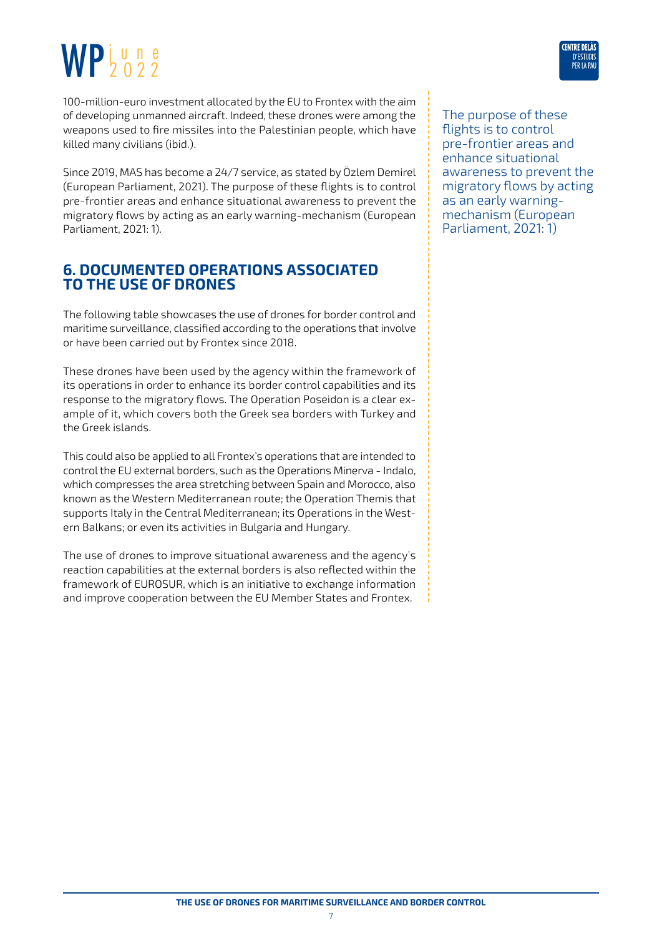<span id="page-6-0"></span>

Since 2019, MAS has become a 24/7 service, as stated by Özlem Demirel (European Parliament, 2021). The purpose of these flights is to control pre-frontier areas and enhance situational awareness to prevent the migratory flows by acting as an early warning-mechanism (European Parliament, 2021: 1).

#### **6. DOCUMENTED OPERATIONS ASSOCIATED TO THE USE OF DRONES**

The following table showcases the use of drones for border control and maritime surveillance, classified according to the operations that involve or have been carried out by Frontex since 2018.

These drones have been used by the agency within the framework of its operations in order to enhance its border control capabilities and its response to the migratory flows. The Operation Poseidon is a clear example of it, which covers both the Greek sea borders with Turkey and the Greek islands.

This could also be applied to all Frontex's operations that are intended to control the EU external borders, such as the Operations Minerva - Indalo, which compresses the area stretching between Spain and Morocco, also known as the Western Mediterranean route; the Operation Themis that supports Italy in the Central Mediterranean; its Operations in the Western Balkans; or even its activities in Bulgaria and Hungary.

The use of drones to improve situational awareness and the agency's reaction capabilities at the external borders is also reflected within the framework of EUROSUR, which is an initiative to exchange information and improve cooperation between the EU Member States and Frontex.

The purpose of these flights is to control pre-frontier areas and enhance situational awareness to prevent the migratory flows by acting as an early warningmechanism (European Parliament, 2021: 1)

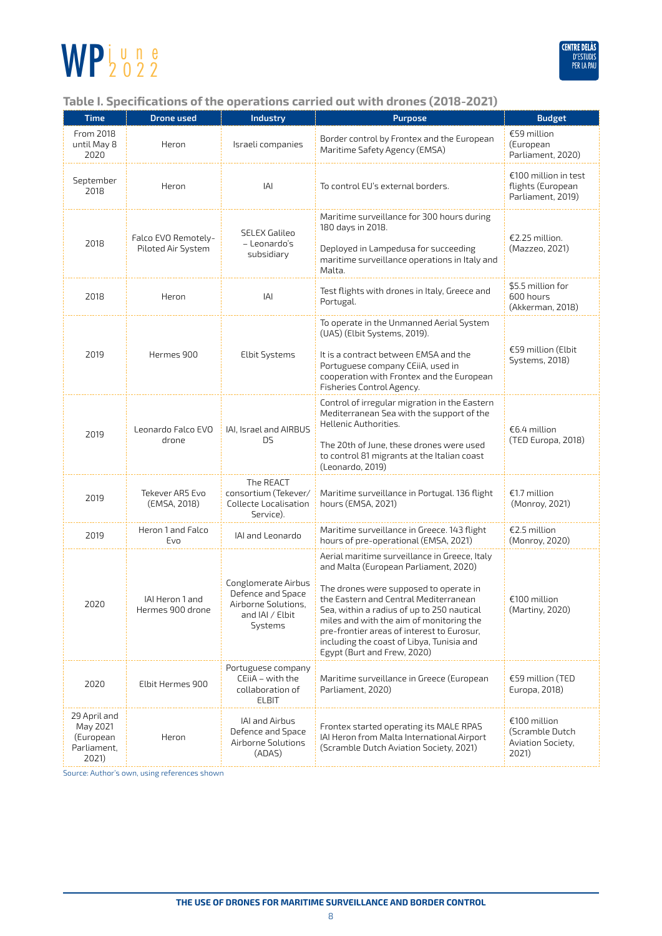

#### **Table I. Specifications of the operations carried out with drones (2018-2021)**

| <b>Time</b>                                                   | <b>Drone used</b>                         | <b>Industry</b>                                                                               | <b>Purpose</b>                                                                                                                                                                                                                                                                                                                                                                                | <b>Budget</b>                                                  |
|---------------------------------------------------------------|-------------------------------------------|-----------------------------------------------------------------------------------------------|-----------------------------------------------------------------------------------------------------------------------------------------------------------------------------------------------------------------------------------------------------------------------------------------------------------------------------------------------------------------------------------------------|----------------------------------------------------------------|
| From 2018<br>until May 8<br>2020                              | Heron                                     | Israeli companies                                                                             | Border control by Frontex and the European<br>Maritime Safety Agency (EMSA)                                                                                                                                                                                                                                                                                                                   | €59 million<br>(European<br>Parliament, 2020)                  |
| September<br>2018                                             | Heron                                     | IAI                                                                                           | To control EU's external borders.                                                                                                                                                                                                                                                                                                                                                             | €100 million in test<br>flights (European<br>Parliament, 2019) |
| 2018                                                          | Falco EVO Remotely-<br>Piloted Air System | <b>SELEX Galileo</b><br>- Leonardo's<br>subsidiary                                            | Maritime surveillance for 300 hours during<br>180 days in 2018.<br>Deployed in Lampedusa for succeeding<br>maritime surveillance operations in Italy and<br>Malta.                                                                                                                                                                                                                            | €2.25 million.<br>(Mazzeo, 2021)                               |
| 2018                                                          | Heron                                     | IAI                                                                                           | Test flights with drones in Italy, Greece and<br>Portugal.                                                                                                                                                                                                                                                                                                                                    | \$5.5 million for<br>600 hours<br>(Akkerman, 2018)             |
| 2019                                                          | Hermes 900                                | <b>Elbit Systems</b>                                                                          | To operate in the Unmanned Aerial System<br>(UAS) (Elbit Systems, 2019).<br>It is a contract between EMSA and the<br>Portuguese company CEiiA, used in<br>cooperation with Frontex and the European<br>Fisheries Control Agency.                                                                                                                                                              | €59 million (Elbit<br><b>Systems, 2018)</b>                    |
| 2019                                                          | Leonardo Falco EVO<br>drone               | IAI, Israel and AIRBUS<br>DS.                                                                 | Control of irregular migration in the Eastern<br>Mediterranean Sea with the support of the<br>Hellenic Authorities.<br>The 20th of June, these drones were used<br>to control 81 migrants at the Italian coast<br>(Leonardo, 2019)                                                                                                                                                            | €6.4 million<br>(TED Europa, 2018)                             |
| 2019                                                          | Tekever AR5 Evo<br>(EMSA, 2018)           | The REACT<br>consortium (Tekever/<br>Collecte Localisation<br>Service).                       | Maritime surveillance in Portugal. 136 flight<br>hours (EMSA, 2021)                                                                                                                                                                                                                                                                                                                           | €1.7 million<br>(Monroy, 2021)                                 |
| 2019                                                          | Heron 1 and Falco<br>Evo                  | IAI and Leonardo                                                                              | Maritime surveillance in Greece. 143 flight<br>hours of pre-operational (EMSA, 2021)                                                                                                                                                                                                                                                                                                          | €2.5 million<br>(Monroy, 2020)                                 |
| 2020                                                          | IAI Heron 1 and<br>Hermes 900 drone       | Conglomerate Airbus<br>Defence and Space<br>Airborne Solutions.<br>and IAI / Elbit<br>Systems | Aerial maritime surveillance in Greece, Italy<br>and Malta (European Parliament, 2020)<br>The drones were supposed to operate in<br>the Eastern and Central Mediterranean<br>Sea, within a radius of up to 250 nautical<br>miles and with the aim of monitoring the<br>pre-frontier areas of interest to Eurosur,<br>including the coast of Libya, Tunisia and<br>Egypt (Burt and Frew, 2020) | €100 million<br>(Martiny, 2020)                                |
| 2020                                                          | Elbit Hermes 900                          | Portuguese company<br>CEiiA - with the<br>collaboration of<br><b>ELBIT</b>                    | Maritime surveillance in Greece (European<br>Parliament, 2020)                                                                                                                                                                                                                                                                                                                                | €59 million (TED<br>Europa, 2018)                              |
| 29 April and<br>May 2021<br>(European<br>Parliament,<br>2021) | Heron                                     | IAI and Airbus<br>Defence and Space<br>Airborne Solutions<br>(ADAS)                           | Frontex started operating its MALE RPAS<br>IAI Heron from Malta International Airport<br>(Scramble Dutch Aviation Society, 2021)                                                                                                                                                                                                                                                              | €100 million<br>(Scramble Dutch<br>Aviation Society,<br>2021)  |

Source: Author's own, using references shown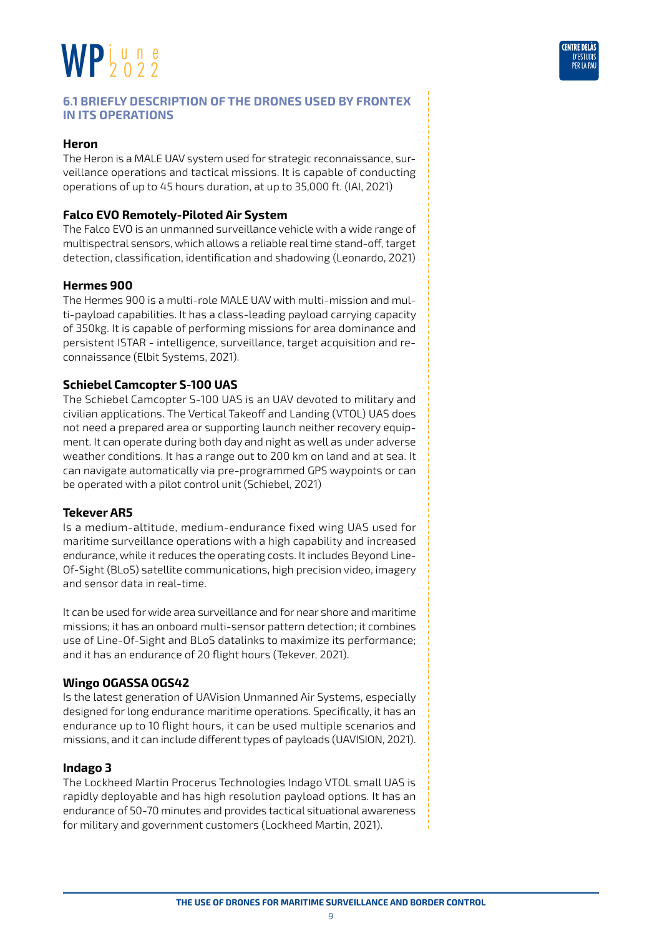

#### **Heron**

The Heron is a MALE UAV system used for strategic reconnaissance, surveillance operations and tactical missions. It is capable of conducting operations of up to 45 hours duration, at up to 35,000 ft. (IAI, 2021)

#### **Falco EVO Remotely-Piloted Air System**

The Falco EVO is an unmanned surveillance vehicle with a wide range of multispectral sensors, which allows a reliable real time stand-off, target detection, classification, identification and shadowing (Leonardo, 2021)

#### **Hermes 900**

The Hermes 900 is a multi-role MALE UAV with multi-mission and multi-payload capabilities. It has a class-leading payload carrying capacity of 350kg. It is capable of performing missions for area dominance and persistent ISTAR - intelligence, surveillance, target acquisition and reconnaissance (Elbit Systems, 2021).

#### **Schiebel Camcopter S-100 UAS**

The Schiebel Camcopter S-100 UAS is an UAV devoted to military and civilian applications. The Vertical Takeoff and Landing (VTOL) UAS does not need a prepared area or supporting launch neither recovery equipment. It can operate during both day and night as well as under adverse weather conditions. It has a range out to 200 km on land and at sea. It can navigate automatically via pre-programmed GPS waypoints or can be operated with a pilot control unit (Schiebel, 2021)

#### **Tekever AR5**

Is a medium-altitude, medium-endurance fixed wing UAS used for maritime surveillance operations with a high capability and increased endurance, while it reduces the operating costs. It includes Beyond Line-Of-Sight (BLoS) satellite communications, high precision video, imagery and sensor data in real-time.

It can be used for wide area surveillance and for near shore and maritime missions; it has an onboard multi-sensor pattern detection; it combines use of Line-Of-Sight and BLoS datalinks to maximize its performance; and it has an endurance of 20 flight hours (Tekever, 2021).

#### **Wingo OGASSA OGS42**

Is the latest generation of UAVision Unmanned Air Systems, especially designed for long endurance maritime operations. Specifically, it has an endurance up to 10 flight hours, it can be used multiple scenarios and missions, and it can include different types of payloads (UAVISION, 2021).

#### **Indago 3**

The Lockheed Martin Procerus Technologies Indago VTOL small UAS is rapidly deployable and has high resolution payload options. It has an endurance of 50-70 minutes and provides tactical situational awareness for military and government customers (Lockheed Martin, 2021).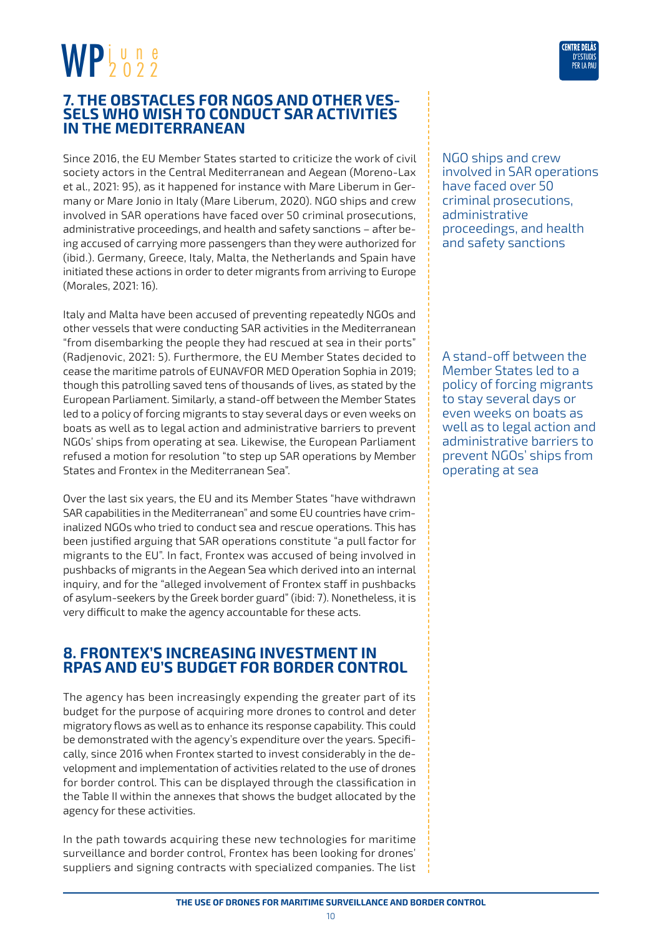### <span id="page-9-0"></span>**7. THE OBSTACLES FOR NGOS AND OTHER VES- SELS WHO WISH TO CONDUCT SAR ACTIVITIES IN THE MEDITERRANEAN**

Since 2016, the EU Member States started to criticize the work of civil society actors in the Central Mediterranean and Aegean (Moreno-Lax et al., 2021: 95), as it happened for instance with Mare Liberum in Germany or Mare Jonio in Italy (Mare Liberum, 2020). NGO ships and crew involved in SAR operations have faced over 50 criminal prosecutions, administrative proceedings, and health and safety sanctions – after being accused of carrying more passengers than they were authorized for (ibid.). Germany, Greece, Italy, Malta, the Netherlands and Spain have initiated these actions in order to deter migrants from arriving to Europe (Morales, 2021: 16).

Italy and Malta have been accused of preventing repeatedly NGOs and other vessels that were conducting SAR activities in the Mediterranean "from disembarking the people they had rescued at sea in their ports" (Radjenovic, 2021: 5). Furthermore, the EU Member States decided to cease the maritime patrols of EUNAVFOR MED Operation Sophia in 2019; though this patrolling saved tens of thousands of lives, as stated by the European Parliament. Similarly, a stand-off between the Member States led to a policy of forcing migrants to stay several days or even weeks on boats as well as to legal action and administrative barriers to prevent NGOs' ships from operating at sea. Likewise, the European Parliament refused a motion for resolution "to step up SAR operations by Member States and Frontex in the Mediterranean Sea".

Over the last six years, the EU and its Member States "have withdrawn SAR capabilities in the Mediterranean" and some EU countries have criminalized NGOs who tried to conduct sea and rescue operations. This has been justified arguing that SAR operations constitute "a pull factor for migrants to the EU". In fact, Frontex was accused of being involved in pushbacks of migrants in the Aegean Sea which derived into an internal inquiry, and for the "alleged involvement of Frontex staff in pushbacks of asylum-seekers by the Greek border guard" (ibid: 7). Nonetheless, it is very difficult to make the agency accountable for these acts.

#### **8. FRONTEX'S INCREASING INVESTMENT IN RPAS AND EU'S BUDGET FOR BORDER CONTROL**

The agency has been increasingly expending the greater part of its budget for the purpose of acquiring more drones to control and deter migratory flows as well as to enhance its response capability. This could be demonstrated with the agency's expenditure over the years. Specifically, since 2016 when Frontex started to invest considerably in the development and implementation of activities related to the use of drones for border control. This can be displayed through the classification in the Table II within the annexes that shows the budget allocated by the agency for these activities.

In the path towards acquiring these new technologies for maritime surveillance and border control, Frontex has been looking for drones' suppliers and signing contracts with specialized companies. The list



A stand-off between the Member States led to a policy of forcing migrants to stay several days or even weeks on boats as well as to legal action and administrative barriers to prevent NGOs' ships from operating at sea

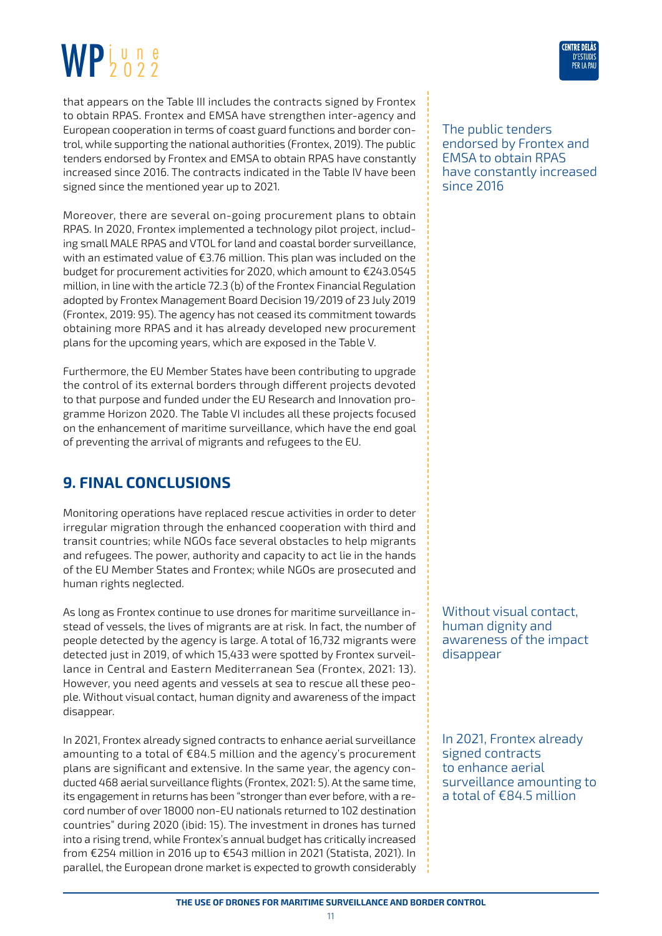<span id="page-10-0"></span>that appears on the Table III includes the contracts signed by Frontex to obtain RPAS. Frontex and EMSA have strengthen inter-agency and European cooperation in terms of coast guard functions and border control, while supporting the national authorities (Frontex, 2019). The public tenders endorsed by Frontex and EMSA to obtain RPAS have constantly increased since 2016. The contracts indicated in the Table IV have been signed since the mentioned year up to 2021.

Moreover, there are several on-going procurement plans to obtain RPAS. In 2020, Frontex implemented a technology pilot project, including small MALE RPAS and VTOL for land and coastal border surveillance, with an estimated value of €3.76 million. This plan was included on the budget for procurement activities for 2020, which amount to €243.0545 million, in line with the article 72.3 (b) of the Frontex Financial Regulation adopted by Frontex Management Board Decision 19/2019 of 23 July 2019 (Frontex, 2019: 95). The agency has not ceased its commitment towards obtaining more RPAS and it has already developed new procurement plans for the upcoming years, which are exposed in the Table V.

Furthermore, the EU Member States have been contributing to upgrade the control of its external borders through different projects devoted to that purpose and funded under the EU Research and Innovation programme Horizon 2020. The Table VI includes all these projects focused on the enhancement of maritime surveillance, which have the end goal of preventing the arrival of migrants and refugees to the EU.

### **9. FINAL CONCLUSIONS**

Monitoring operations have replaced rescue activities in order to deter irregular migration through the enhanced cooperation with third and transit countries; while NGOs face several obstacles to help migrants and refugees. The power, authority and capacity to act lie in the hands of the EU Member States and Frontex; while NGOs are prosecuted and human rights neglected.

As long as Frontex continue to use drones for maritime surveillance instead of vessels, the lives of migrants are at risk. In fact, the number of people detected by the agency is large. A total of 16,732 migrants were detected just in 2019, of which 15,433 were spotted by Frontex surveillance in Central and Eastern Mediterranean Sea (Frontex, 2021: 13). However, you need agents and vessels at sea to rescue all these people. Without visual contact, human dignity and awareness of the impact disappear.

In 2021, Frontex already signed contracts to enhance aerial surveillance amounting to a total of €84.5 million and the agency's procurement plans are significant and extensive. In the same year, the agency conducted 468 aerial surveillance flights (Frontex, 2021: 5). At the same time, its engagement in returns has been "stronger than ever before, with a record number of over 18000 non-EU nationals returned to 102 destination countries" during 2020 (ibid: 15). The investment in drones has turned into a rising trend, while Frontex's annual budget has critically increased from €254 million in 2016 up to €543 million in 2021 (Statista, 2021). In parallel, the European drone market is expected to growth considerably

#### The public tenders endorsed by Frontex and EMSA to obtain RPAS have constantly increased since 2016

Without visual contact, human dignity and awareness of the impact disappear

In 2021, Frontex already signed contracts to enhance aerial surveillance amounting to a total of €84.5 million

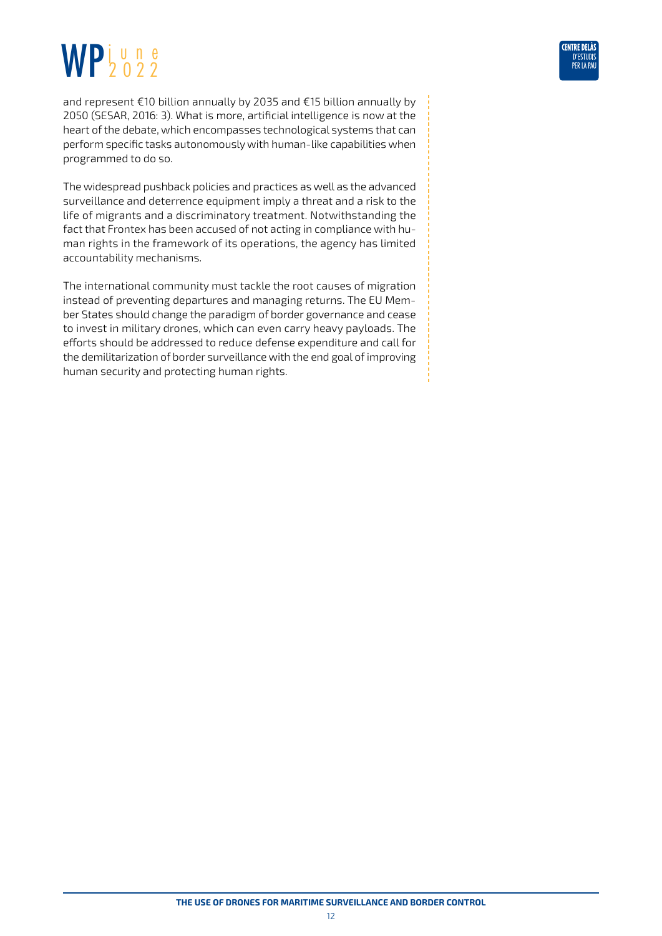and represent €10 billion annually by 2035 and €15 billion annually by 2050 (SESAR, 2016: 3). What is more, artificial intelligence is now at the heart of the debate, which encompasses technological systems that can perform specific tasks autonomously with human-like capabilities when programmed to do so.

The widespread pushback policies and practices as well as the advanced surveillance and deterrence equipment imply a threat and a risk to the life of migrants and a discriminatory treatment. Notwithstanding the fact that Frontex has been accused of not acting in compliance with human rights in the framework of its operations, the agency has limited accountability mechanisms.

The international community must tackle the root causes of migration instead of preventing departures and managing returns. The EU Member States should change the paradigm of border governance and cease to invest in military drones, which can even carry heavy payloads. The efforts should be addressed to reduce defense expenditure and call for the demilitarization of border surveillance with the end goal of improving human security and protecting human rights.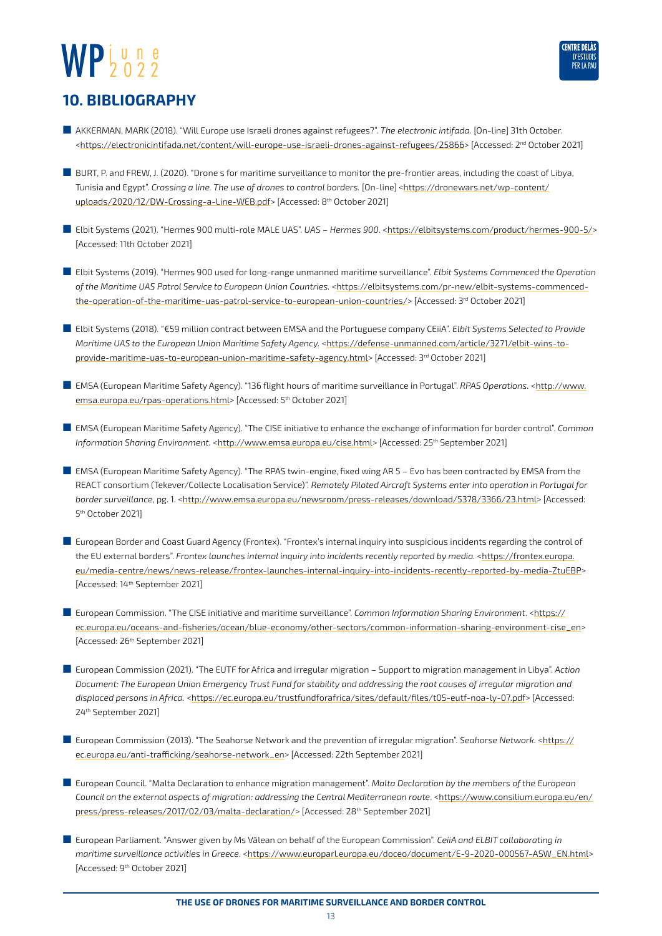

#### <span id="page-12-0"></span>**10. BIBLIOGRAPHY**

- AKKERMAN, MARK (2018). "Will Europe use Israeli drones against refugees?". *The electronic intifada.* [On-line] 31th October. [<https://electronicintifada.net/content/will-europe-use-israeli-drones-against-refugees/25866>](https://electronicintifada.net/content/will-europe-use-israeli-drones-against-refugees/25866) [Accessed: 2<sup>nd</sup> October 2021]
- BURT, P. and FREW, J. (2020). "Drone s for maritime surveillance to monitor the pre-frontier areas, including the coast of Libya, Tunisia and Egypt". *Crossing a line. The use of drones to control borders.* [On-line] <[https://dronewars.net/wp-content/](https://dronewars.net/wp-content/uploads/2020/12/DW-Crossing-a-Line-WEB.pdf) [uploads/2020/12/DW-Crossing-a-Line-WEB.pdf](https://dronewars.net/wp-content/uploads/2020/12/DW-Crossing-a-Line-WEB.pdf)> [Accessed: 8<sup>th</sup> October 2021]
- Elbit Systems (2021). "Hermes 900 multi-role MALE UAS". UAS Hermes 900. [<https://elbitsystems.com/product/hermes-900-5/](https://elbitsystems.com/product/hermes-900-5/)> [Accessed: 11th October 2021]
- Elbit Systems (2019). "Hermes 900 used for long-range unmanned maritime surveillance". *Elbit Systems Commenced the Operation of the Maritime UAS Patrol Service to European Union Countries.* <[https://elbitsystems.com/pr-new/elbit-systems-commenced](https://elbitsystems.com/pr-new/elbit-systems-commenced-the-operation-of-the-maritime-uas-patrol-service-to-european-union-countries/)[the-operation-of-the-maritime-uas-patrol-service-to-european-union-countries/>](https://elbitsystems.com/pr-new/elbit-systems-commenced-the-operation-of-the-maritime-uas-patrol-service-to-european-union-countries/) [Accessed: 3rd October 2021]
- Elbit Systems (2018). "€59 million contract between EMSA and the Portuguese company CEiiA". *Elbit Systems Selected to Provide Maritime UAS to the European Union Maritime Safety Agency.* <[https://defense-unmanned.com/article/3271/elbit-wins-to](https://defense-unmanned.com/article/3271/elbit-wins-to-provide-maritime-uas-to-european-union-maritime-safety-agency.html)[provide-maritime-uas-to-european-union-maritime-safety-agency.html](https://defense-unmanned.com/article/3271/elbit-wins-to-provide-maritime-uas-to-european-union-maritime-safety-agency.html)> [Accessed: 3<sup>rd</sup> October 2021]
- EMSA (European Maritime Safety Agency). "136 flight hours of maritime surveillance in Portugal". *RPAS Operations.* <[http://www.](http://www.emsa.europa.eu/rpas-operations.html) [emsa.europa.eu/rpas-operations.html](http://www.emsa.europa.eu/rpas-operations.html)> [Accessed: 5<sup>th</sup> October 2021]
- EMSA (European Maritime Safety Agency). "The CISE initiative to enhance the exchange of information for border control". *Common Information Sharing Environment.* <<http://www.emsa.europa.eu/cise.html>> [Accessed: 25th September 2021]
- EMSA (European Maritime Safety Agency). "The RPAS twin-engine, fixed wing AR 5 Evo has been contracted by EMSA from the REACT consortium (Tekever/Collecte Localisation Service)". *Remotely Piloted Aircraft Systems enter into operation in Portugal for border surveillance,* pg. 1*.* [<http://www.emsa.europa.eu/newsroom/press-releases/download/5378/3366/23.html>](http://www.emsa.europa.eu/newsroom/press-releases/download/5378/3366/23.html) [Accessed: 5th October 2021]
- European Border and Coast Guard Agency (Frontex). "Frontex's internal inquiry into suspicious incidents regarding the control of the EU external borders". *Frontex launches internal inquiry into incidents recently reported by media.* [<https://frontex.europa.](https://frontex.europa.eu/media-centre/news/news-release/frontex-launches-internal-inquiry-into-incidents-recently-reported-by-media-ZtuEBP) [eu/media-centre/news/news-release/frontex-launches-internal-inquiry-into-incidents-recently-reported-by-media-ZtuEBP>](https://frontex.europa.eu/media-centre/news/news-release/frontex-launches-internal-inquiry-into-incidents-recently-reported-by-media-ZtuEBP) [Accessed: 14<sup>th</sup> September 2021]
- European Commission. "The CISE initiative and maritime surveillance". *Common Information Sharing Environment*. [<https://](https://ec.europa.eu/oceans-and-fisheries/ocean/blue-economy/other-sectors/common-information-sharing-environment-cise_en) [ec.europa.eu/oceans-and-fisheries/ocean/blue-economy/other-sectors/common-information-sharing-environment-cise\\_en>](https://ec.europa.eu/oceans-and-fisheries/ocean/blue-economy/other-sectors/common-information-sharing-environment-cise_en) [Accessed: 26<sup>th</sup> September 2021]
- European Commission (2021). "The EUTF for Africa and irregular migration Support to migration management in Libya". Action *Document: The European Union Emergency Trust Fund for stability and addressing the root causes of irregular migration and displaced persons in Africa.* [<https://ec.europa.eu/trustfundforafrica/sites/default/files/t05-eutf-noa-ly-07.pdf>](https://ec.europa.eu/trustfundforafrica/sites/default/files/t05-eutf-noa-ly-07.pdf) [Accessed: 24th September 2021]
- European Commission (2013). "The Seahorse Network and the prevention of irregular migration". *Seahorse Network.* [<https://](https://ec.europa.eu/anti-trafficking/seahorse-network_en) [ec.europa.eu/anti-trafficking/seahorse-network\\_en>](https://ec.europa.eu/anti-trafficking/seahorse-network_en) [Accessed: 22th September 2021]
- European Council. "Malta Declaration to enhance migration management". *Malta Declaration by the members of the European Council on the external aspects of migration: addressing the Central Mediterranean route*. <[https://www.consilium.europa.eu/en/](https://www.consilium.europa.eu/en/press/press-releases/2017/02/03/malta-declaration/) [press/press-releases/2017/02/03/malta-declaration/>](https://www.consilium.europa.eu/en/press/press-releases/2017/02/03/malta-declaration/) [Accessed: 28th September 2021]
- European Parliament. "Answer given by Ms Vălean on behalf of the European Commission". *CeiiA and ELBIT collaborating in maritime surveillance activities in Greece.* <[https://www.europarl.europa.eu/doceo/document/E-9-2020-000567-ASW\\_EN.html>](https://www.europarl.europa.eu/doceo/document/E-9-2020-000567-ASW_EN.html) [Accessed: 9th October 2021]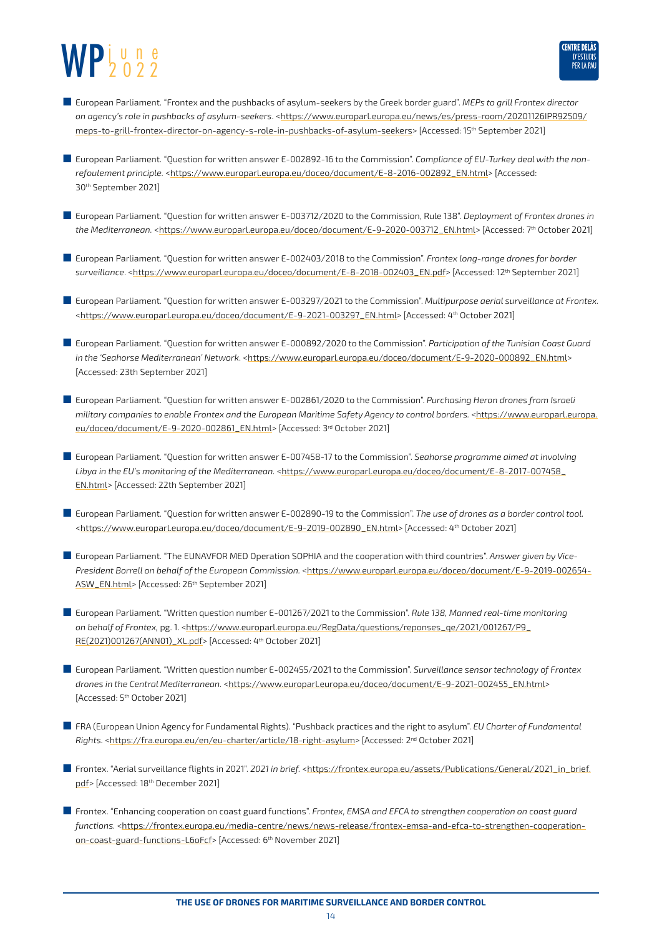

- European Parliament. "Frontex and the pushbacks of asylum-seekers by the Greek border guard". *MEPs to grill Frontex director on agency's role in pushbacks of asylum-seekers*. [<https://www.europarl.europa.eu/news/es/press-room/20201126IPR92509/](https://www.europarl.europa.eu/news/es/press-room/20201126IPR92509/meps-to-grill-frontex-director-on-agency-s-role-in-pushbacks-of-asylum-seekers) [meps-to-grill-frontex-director-on-agency-s-role-in-pushbacks-of-asylum-seekers>](https://www.europarl.europa.eu/news/es/press-room/20201126IPR92509/meps-to-grill-frontex-director-on-agency-s-role-in-pushbacks-of-asylum-seekers) [Accessed: 15th September 2021]
- European Parliament. "Question for written answer E-002892-16 to the Commission". *Compliance of EU-Turkey deal with the nonrefoulement principle.* [<https://www.europarl.europa.eu/doceo/document/E-8-2016-002892\\_EN.html](https://www.europarl.europa.eu/doceo/document/E-8-2016-002892_EN.html)> [Accessed: 30th September 2021]
- European Parliament. "Question for written answer E-003712/2020 to the Commission, Rule 138". *Deployment of Frontex drones in the Mediterranean.* [<https://www.europarl.europa.eu/doceo/document/E-9-2020-003712\\_EN.html>](https://www.europarl.europa.eu/doceo/document/E-9-2020-003712_EN.html) [Accessed: 7th October 2021]
- European Parliament. "Question for written answer E-002403/2018 to the Commission". *Frontex long-range drones for border surveillance*. <[https://www.europarl.europa.eu/doceo/document/E-8-2018-002403\\_EN.pdf>](https://www.europarl.europa.eu/doceo/document/E-8-2018-002403_EN.pdf) [Accessed: 12th September 2021]
- European Parliament. "Question for written answer E-003297/2021 to the Commission". *Multipurpose aerial surveillance at Frontex.* [<https://www.europarl.europa.eu/doceo/document/E-9-2021-003297\\_EN.html>](https://www.europarl.europa.eu/doceo/document/E-9-2021-003297_EN.html) [Accessed: 4th October 2021]
- European Parliament. "Question for written answer E-000892/2020 to the Commission". *Participation of the Tunisian Coast Guard in the 'Seahorse Mediterranean' Network*. <[https://www.europarl.europa.eu/doceo/document/E-9-2020-000892\\_EN.html](https://www.europarl.europa.eu/doceo/document/E-9-2020-000892_EN.html)> [Accessed: 23th September 2021]
- European Parliament. "Question for written answer E-002861/2020 to the Commission". *Purchasing Heron drones from Israeli*  military companies to enable Frontex and the European Maritime Safety Agency to control borders. [<https://www.europarl.europa.](https://www.europarl.europa.eu/doceo/document/E-9-2020-002861_EN.html) [eu/doceo/document/E-9-2020-002861\\_EN.html>](https://www.europarl.europa.eu/doceo/document/E-9-2020-002861_EN.html) [Accessed: 3rd October 2021]
- European Parliament. "Question for written answer E-007458-17 to the Commission". *Seahorse programme aimed at involving*  Libya in the EU's monitoring of the Mediterranean. [<https://www.europarl.europa.eu/doceo/document/E-8-2017-007458\\_](https://www.europarl.europa.eu/doceo/document/E-8-2017-007458_EN.html) [EN.html>](https://www.europarl.europa.eu/doceo/document/E-8-2017-007458_EN.html) [Accessed: 22th September 2021]
- European Parliament. "Question for written answer E-002890-19 to the Commission". *The use of drones as a border control tool.* [<https://www.europarl.europa.eu/doceo/document/E-9-2019-002890\\_EN.html](https://www.europarl.europa.eu/doceo/document/E-9-2019-002890_EN.html)> [Accessed: 4<sup>th</sup> October 2021]
- European Parliament. "The EUNAVFOR MED Operation SOPHIA and the cooperation with third countries". *Answer given by Vice-President Borrell on behalf of the European Commission.* [<https://www.europarl.europa.eu/doceo/document/E-9-2019-002654-](https://www.europarl.europa.eu/doceo/document/E-9-2019-002654-ASW_EN.html) [ASW\\_EN.html](https://www.europarl.europa.eu/doceo/document/E-9-2019-002654-ASW_EN.html)> [Accessed: 26<sup>th</sup> September 2021]
- European Parliament. "Written question number E-001267/2021 to the Commission". *Rule 138, Manned real-time monitoring on behalf of Frontex,* pg. 1. <[https://www.europarl.europa.eu/RegData/questions/reponses\\_qe/2021/001267/P9\\_](https://www.europarl.europa.eu/RegData/questions/reponses_qe/2021/001267/P9_RE(2021)001267(ANN01)_XL.pdf) [RE\(2021\)001267\(ANN01\)\\_XL.pdf](https://www.europarl.europa.eu/RegData/questions/reponses_qe/2021/001267/P9_RE(2021)001267(ANN01)_XL.pdf)> [Accessed: 4th October 2021]
- European Parliament. "Written question number E-002455/2021 to the Commission". *Surveillance sensor technology of Frontex drones in the Central Mediterranean.* <[https://www.europarl.europa.eu/doceo/document/E-9-2021-002455\\_EN.html](https://www.europarl.europa.eu/doceo/document/E-9-2021-002455_EN.html)> [Accessed: 5<sup>th</sup> October 2021]
- FRA (European Union Agency for Fundamental Rights). "Pushback practices and the right to asylum". *EU Charter of Fundamental Rights.* <<https://fra.europa.eu/en/eu-charter/article/18-right-asylum>> [Accessed: 2nd October 2021]
- Frontex. "Aerial surveillance flights in 2021". 2021 in brief. [<https://frontex.europa.eu/assets/Publications/General/2021\\_in\\_brief.](https://frontex.europa.eu/assets/Publications/General/2021_in_brief.pdf) [pdf](https://frontex.europa.eu/assets/Publications/General/2021_in_brief.pdf)> [Accessed: 18<sup>th</sup> December 2021]
- Frontex. "Enhancing cooperation on coast guard functions". *Frontex, EMSA and EFCA to strengthen cooperation on coast quard functions.* <[https://frontex.europa.eu/media-centre/news/news-release/frontex-emsa-and-efca-to-strengthen-cooperation](https://frontex.europa.eu/media-centre/news/news-release/frontex-emsa-and-efca-to-strengthen-cooperation-on-coast-guard-functions-L6oFcf)[on-coast-guard-functions-L6oFcf>](https://frontex.europa.eu/media-centre/news/news-release/frontex-emsa-and-efca-to-strengthen-cooperation-on-coast-guard-functions-L6oFcf) [Accessed: 6<sup>th</sup> November 2021]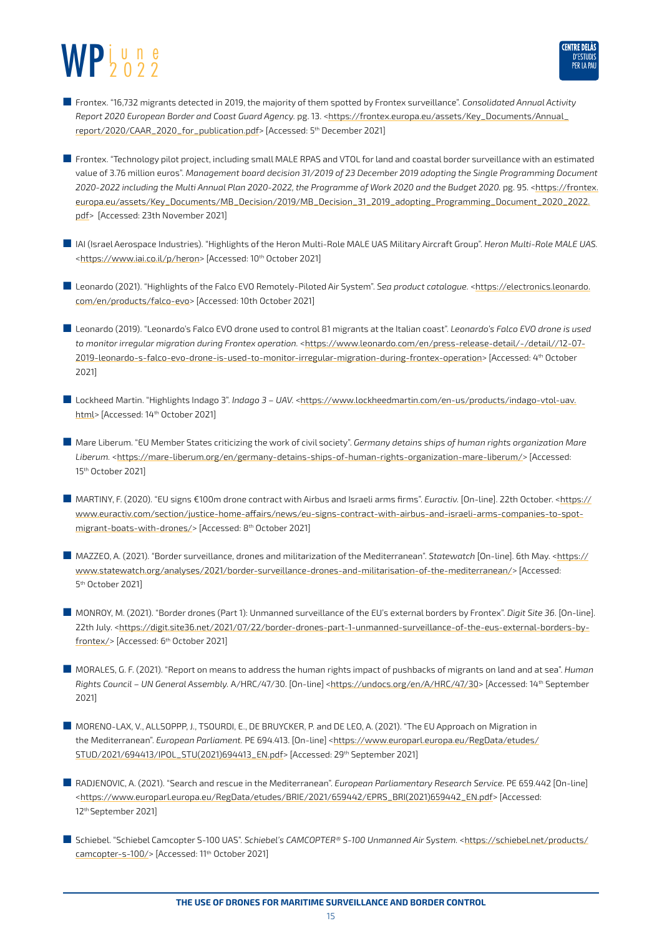

- Frontex. "16,732 migrants detected in 2019, the majority of them spotted by Frontex surveillance". *Consolidated Annual Activity Report 2020 European Border and Coast Guard Agency.* pg. 13. [<https://frontex.europa.eu/assets/Key\\_Documents/Annual\\_](https://frontex.europa.eu/assets/Key_Documents/Annual_report/2020/CAAR_2020_for_publication.pdf) [report/2020/CAAR\\_2020\\_for\\_publication.pdf](https://frontex.europa.eu/assets/Key_Documents/Annual_report/2020/CAAR_2020_for_publication.pdf)> [Accessed: 5th December 2021]
- Frontex. "Technology pilot project, including small MALE RPAS and VTOL for land and coastal border surveillance with an estimated value of 3.76 million euros". *Management board decision 31/2019 of 23 December 2019 adopting the Single Programming Document 2020-2022 including the Multi Annual Plan 2020-2022, the Programme of Work 2020 and the Budget 2020.* pg. 95. <[https://frontex.](https://frontex.europa.eu/assets/Key_Documents/MB_Decision/2019/MB_Decision_31_2019_adopting_Programming_Document_2020_2022.pdf) [europa.eu/assets/Key\\_Documents/MB\\_Decision/2019/MB\\_Decision\\_31\\_2019\\_adopting\\_Programming\\_Document\\_2020\\_2022.](https://frontex.europa.eu/assets/Key_Documents/MB_Decision/2019/MB_Decision_31_2019_adopting_Programming_Document_2020_2022.pdf) [pdf](https://frontex.europa.eu/assets/Key_Documents/MB_Decision/2019/MB_Decision_31_2019_adopting_Programming_Document_2020_2022.pdf)> [Accessed: 23th November 2021]
- IAI (Israel Aerospace Industries). "Highlights of the Heron Multi-Role MALE UAS Military Aircraft Group". *Heron Multi-Role MALE UAS.*  [<https://www.iai.co.il/p/heron](https://www.iai.co.il/p/heron)> [Accessed: 10<sup>th</sup> October 2021]
- Leonardo (2021). "Highlights of the Falco EVO Remotely-Piloted Air System". Sea product catalogue. <[https://electronics.leonardo.](https://electronics.leonardo.com/en/products/falco-evo) [com/en/products/falco-evo>](https://electronics.leonardo.com/en/products/falco-evo) [Accessed: 10th October 2021]
- Leonardo (2019). "Leonardo's Falco EVO drone used to control 81 migrants at the Italian coast". *Leonardo's Falco EVO drone is used*  to monitor irregular migration during Frontex operation. [<https://www.leonardo.com/en/press-release-detail/-/detail//12-07-](https://www.leonardo.com/en/press-release-detail/-/detail//12-07-2019-leonardo-s-falco-evo-drone-is-used-to-monitor-irregular-migration-during-frontex-operation) [2019-leonardo-s-falco-evo-drone-is-used-to-monitor-irregular-migration-during-frontex-operation>](https://www.leonardo.com/en/press-release-detail/-/detail//12-07-2019-leonardo-s-falco-evo-drone-is-used-to-monitor-irregular-migration-during-frontex-operation) [Accessed: 4th October 2021]
- Lockheed Martin. "Highlights Indago 3". *Indago 3 UAV.* [<https://www.lockheedmartin.com/en-us/products/indago-vtol-uav.](https://www.lockheedmartin.com/en-us/products/indago-vtol-uav.html) [html>](https://www.lockheedmartin.com/en-us/products/indago-vtol-uav.html) [Accessed: 14<sup>th</sup> October 2021]
- Mare Liberum. "EU Member States criticizing the work of civil society". *Germany detains ships of human rights organization Mare* Liberum. [<https://mare-liberum.org/en/germany-detains-ships-of-human-rights-organization-mare-liberum/](https://mare-liberum.org/en/germany-detains-ships-of-human-rights-organization-mare-liberum/)> [Accessed: 15th October 2021]
- MARTINY, F. (2020). "EU signs €100m drone contract with Airbus and Israeli arms firms". *Euractiv.* [On-line]. 22th October. <[https://](https://www.euractiv.com/section/justice-home-affairs/news/eu-signs-contract-with-airbus-and-israeli-arms-companies-to-spot-migrant-boats-with-drones/) [www.euractiv.com/section/justice-home-affairs/news/eu-signs-contract-with-airbus-and-israeli-arms-companies-to-spot](https://www.euractiv.com/section/justice-home-affairs/news/eu-signs-contract-with-airbus-and-israeli-arms-companies-to-spot-migrant-boats-with-drones/)[migrant-boats-with-drones/>](https://www.euractiv.com/section/justice-home-affairs/news/eu-signs-contract-with-airbus-and-israeli-arms-companies-to-spot-migrant-boats-with-drones/) [Accessed: 8<sup>th</sup> October 2021]
- MAZZEO, A. (2021). "Border surveillance, drones and militarization of the Mediterranean". *Statewatch* [On-line]. 6th May. [<https://](https://www.statewatch.org/analyses/2021/border-surveillance-drones-and-militarisation-of-the-mediterranean/) [www.statewatch.org/analyses/2021/border-surveillance-drones-and-militarisation-of-the-mediterranean/>](https://www.statewatch.org/analyses/2021/border-surveillance-drones-and-militarisation-of-the-mediterranean/) [Accessed: 5th October 2021]
- MONROY, M. (2021). "Border drones (Part 1): Unmanned surveillance of the EU's external borders by Frontex". *Digit Site 36*. [On-line]. 22th July. [<https://digit.site36.net/2021/07/22/border-drones-part-1-unmanned-surveillance-of-the-eus-external-borders-by](https://digit.site36.net/2021/07/22/border-drones-part-1-unmanned-surveillance-of-the-eus-external-borders-by-frontex/)[frontex/>](https://digit.site36.net/2021/07/22/border-drones-part-1-unmanned-surveillance-of-the-eus-external-borders-by-frontex/) [Accessed: 6<sup>th</sup> October 2021]
- MORALES, G. F. (2021). "Report on means to address the human rights impact of pushbacks of migrants on land and at sea". *Human Rights Council – UN General Assembly.* A/HRC/47/30. [On-line] [<https://undocs.org/en/A/HRC/47/30>](https://undocs.org/en/A/HRC/47/30) [Accessed: 14th September 2021]
- MORENO-LAX, V., ALLSOPPP, J., TSOURDI, E., DE BRUYCKER, P. and DE LEO, A. (2021). "The EU Approach on Migration in the Mediterranean". *European Parliament. PE 694.413.* [On-line] <[https://www.europarl.europa.eu/RegData/etudes/](https://www.europarl.europa.eu/RegData/etudes/STUD/2021/694413/IPOL_STU(2021)694413_EN.pdf) [STUD/2021/694413/IPOL\\_STU\(2021\)694413\\_EN.pdf>](https://www.europarl.europa.eu/RegData/etudes/STUD/2021/694413/IPOL_STU(2021)694413_EN.pdf) [Accessed: 29th September 2021]
- RADJENOVIC, A. (2021). "Search and rescue in the Mediterranean". *European Parliamentary Research Service.* PE 659.442 [On-line] [<https://www.europarl.europa.eu/RegData/etudes/BRIE/2021/659442/EPRS\\_BRI\(2021\)659442\\_EN.pdf](https://www.europarl.europa.eu/RegData/etudes/BRIE/2021/659442/EPRS_BRI(2021)659442_EN.pdf)> [Accessed: 12th September 2021]
- Schiebel. "Schiebel Camcopter S-100 UAS". Schiebel's CAMCOPTER® S-100 Unmanned Air System. <[https://schiebel.net/products/](https://schiebel.net/products/camcopter-s-100/) [camcopter-s-100/>](https://schiebel.net/products/camcopter-s-100/) [Accessed: 11<sup>th</sup> October 2021]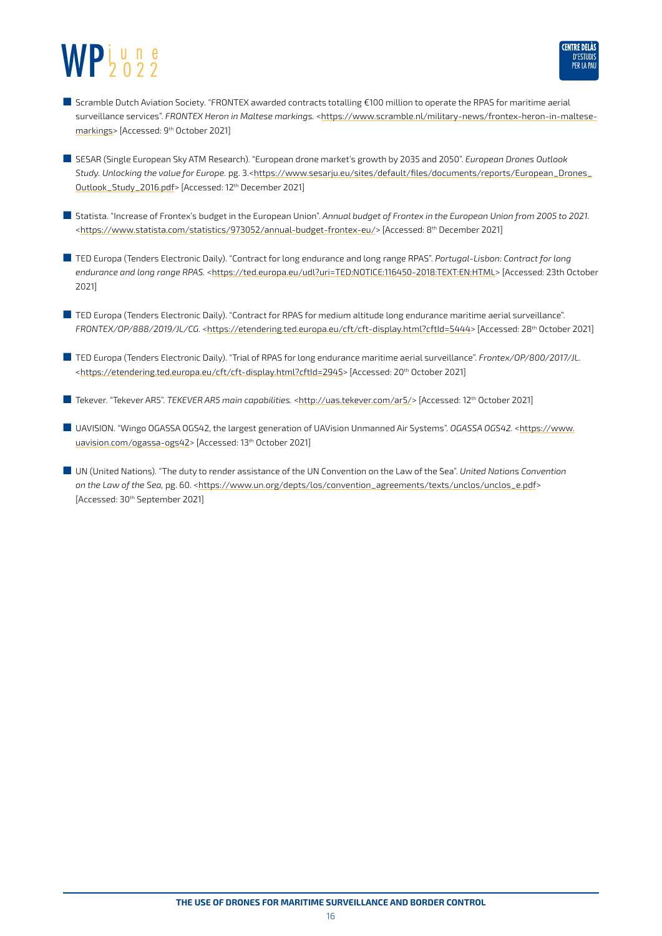

- Scramble Dutch Aviation Society. "FRONTEX awarded contracts totalling €100 million to operate the RPAS for maritime aerial surveillance services". *FRONTEX Heron in Maltese markings.* <[https://www.scramble.nl/military-news/frontex-heron-in-maltese](https://www.scramble.nl/military-news/frontex-heron-in-maltese-markings)[markings>](https://www.scramble.nl/military-news/frontex-heron-in-maltese-markings) [Accessed: 9th October 2021]
- SESAR (Single European Sky ATM Research). "European drone market's growth by 2035 and 2050". *European Drones Outlook* Study. Unlocking the value for Europe. pg. 3.[<https://www.sesarju.eu/sites/default/files/documents/reports/European\\_Drones\\_](https://www.sesarju.eu/sites/default/files/documents/reports/European_Drones_Outlook_Study_2016.pdf) [Outlook\\_Study\\_2016.pdf>](https://www.sesarju.eu/sites/default/files/documents/reports/European_Drones_Outlook_Study_2016.pdf) [Accessed: 12<sup>th</sup> December 2021]
- Statista. "Increase of Frontex's budget in the European Union". Annual budget of Frontex in the European Union from 2005 to 2021. [<https://www.statista.com/statistics/973052/annual-budget-frontex-eu/>](https://www.statista.com/statistics/973052/annual-budget-frontex-eu/) [Accessed: 8<sup>th</sup> December 2021]
- TED Europa (Tenders Electronic Daily). "Contract for long endurance and long range RPAS". *Portugal-Lisbon: Contract for long endurance and long range RPAS.* <[https://ted.europa.eu/udl?uri=TED:NOTICE:116450-2018:TEXT:EN:HTML>](https://ted.europa.eu/udl?uri=TED:NOTICE:116450-2018:TEXT:EN:HTML) [Accessed: 23th October 2021]
- TED Europa (Tenders Electronic Daily). "Contract for RPAS for medium altitude long endurance maritime aerial surveillance". *FRONTEX/OP/888/2019/JL/CG.* [<https://etendering.ted.europa.eu/cft/cft-display.html?cftId=5444](https://etendering.ted.europa.eu/cft/cft-display.html?cftId=5444)> [Accessed: 28th October 2021]
- TED Europa (Tenders Electronic Daily). "Trial of RPAS for long endurance maritime aerial surveillance". *Frontex/OP/800/2017/JL*. [<https://etendering.ted.europa.eu/cft/cft-display.html?cftId=2945](https://etendering.ted.europa.eu/cft/cft-display.html?cftId=2945)> [Accessed: 20th October 2021]
- Tekever. "Tekever AR5". *TEKEVER AR5 main capabilities.* <[http://uas.tekever.com/ar5/>](http://uas.tekever.com/ar5/) [Accessed: 12<sup>th</sup> October 2021]
- UAVISION. "Wingo OGASSA OGS42, the largest generation of UAVision Unmanned Air Systems". *OGASSA OGS42*. [<https://www.](https://www.uavision.com/ogassa-ogs42) [uavision.com/ogassa-ogs42>](https://www.uavision.com/ogassa-ogs42) [Accessed: 13<sup>th</sup> October 2021]
- UN (United Nations). "The duty to render assistance of the UN Convention on the Law of the Sea". *United Nations Convention on the Law of the Sea,* pg. 60. <[https://www.un.org/depts/los/convention\\_agreements/texts/unclos/unclos\\_e.pdf](https://www.un.org/depts/los/convention_agreements/texts/unclos/unclos_e.pdf)> [Accessed: 30th September 2021]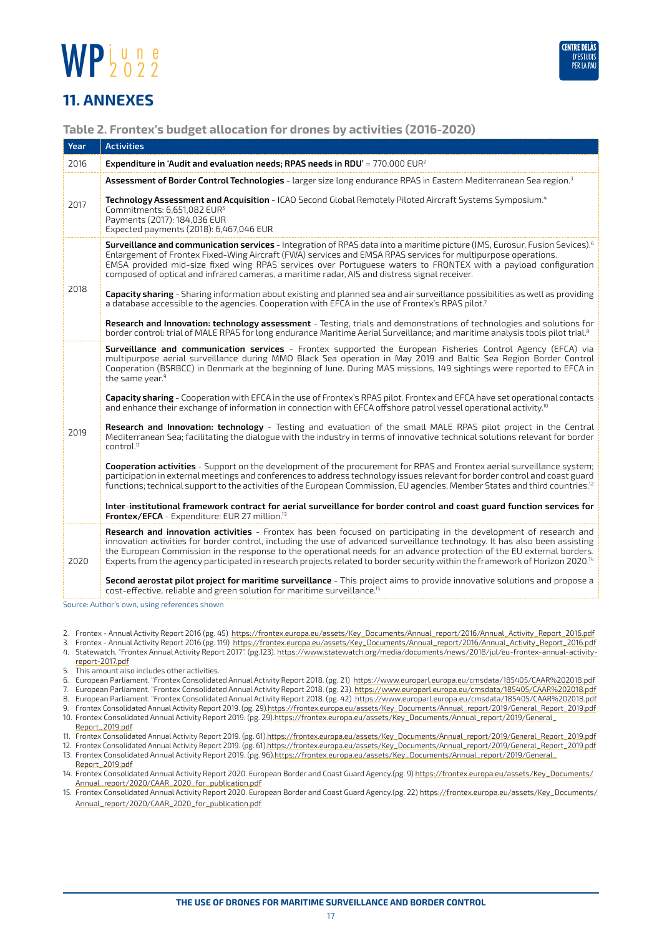

#### <span id="page-16-0"></span>**11. ANNEXES**

#### **Table 2. Frontex's budget allocation for drones by activities (2016-2020)**

| Year | <b>Activities</b>                                                                                                                                                                                                                                                                                                                                                                                                                                                                                                      |
|------|------------------------------------------------------------------------------------------------------------------------------------------------------------------------------------------------------------------------------------------------------------------------------------------------------------------------------------------------------------------------------------------------------------------------------------------------------------------------------------------------------------------------|
| 2016 | Expenditure in 'Audit and evaluation needs; RPAS needs in RDU' = $770.000 \text{ EUR}^2$                                                                                                                                                                                                                                                                                                                                                                                                                               |
| 2017 | Assessment of Border Control Technologies - larger size long endurance RPAS in Eastern Mediterranean Sea region. <sup>3</sup>                                                                                                                                                                                                                                                                                                                                                                                          |
|      | Technology Assessment and Acquisition - ICAO Second Global Remotely Piloted Aircraft Systems Symposium. <sup>4</sup><br>Commitments: 6,651,082 EUR <sup>5</sup><br>Payments (2017): 184,036 EUR<br>Expected payments (2018): 6,467,046 EUR                                                                                                                                                                                                                                                                             |
| 2018 | Surveillance and communication services - Integration of RPAS data into a maritime picture (IMS, Eurosur, Fusion Sevices). <sup>6</sup><br>Enlargement of Frontex Fixed-Wing Aircraft (FWA) services and EMSA RPAS services for multipurpose operations.<br>EMSA provided mid-size fixed wing RPAS services over Portuguese waters to FRONTEX with a payload configuration<br>composed of optical and infrared cameras, a maritime radar, AIS and distress signal receiver.                                            |
|      | Capacity sharing - Sharing information about existing and planned sea and air surveillance possibilities as well as providing<br>a database accessible to the agencies. Cooperation with EFCA in the use of Frontex's RPAS pilot. <sup>7</sup>                                                                                                                                                                                                                                                                         |
|      | Research and Innovation: technology assessment - Testing, trials and demonstrations of technologies and solutions for<br>border control: trial of MALE RPAS for long endurance Maritime Aerial Surveillance; and maritime analysis tools pilot trial. <sup>8</sup>                                                                                                                                                                                                                                                     |
| 2019 | Surveillance and communication services - Frontex supported the European Fisheries Control Agency (EFCA) via<br>multipurpose aerial surveillance during MMO Black Sea operation in May 2019 and Baltic Sea Region Border Control<br>Cooperation (BSRBCC) in Denmark at the beginning of June. During MAS missions, 149 sightings were reported to EFCA in<br>the same year. <sup>9</sup>                                                                                                                               |
|      | Capacity sharing - Cooperation with EFCA in the use of Frontex's RPAS pilot. Frontex and EFCA have set operational contacts<br>and enhance their exchange of information in connection with EFCA offshore patrol vessel operational activity. <sup>10</sup>                                                                                                                                                                                                                                                            |
|      | Research and Innovation: technology - Testing and evaluation of the small MALE RPAS pilot project in the Central<br>Mediterranean Sea; facilitating the dialogue with the industry in terms of innovative technical solutions relevant for border<br>control. <sup>11</sup>                                                                                                                                                                                                                                            |
|      | Cooperation activities - Support on the development of the procurement for RPAS and Frontex aerial surveillance system;<br>participation in external meetings and conferences to address technology issues relevant for border control and coast guard<br>functions; technical support to the activities of the European Commission, EU agencies, Member States and third countries. <sup>12</sup>                                                                                                                     |
|      | Inter-institutional framework contract for aerial surveillance for border control and coast guard function services for<br>Frontex/EFCA - Expenditure: EUR 27 million. <sup>13</sup>                                                                                                                                                                                                                                                                                                                                   |
| 2020 | Research and innovation activities - Frontex has been focused on participating in the development of research and<br>innovation activities for border control, including the use of advanced surveillance technology. It has also been assisting<br>the European Commission in the response to the operational needs for an advance protection of the EU external borders.<br>Experts from the agency participated in research projects related to border security within the framework of Horizon 2020. <sup>14</sup> |
|      | Second aerostat pilot project for maritime surveillance - This project aims to provide innovative solutions and propose a<br>cost-effective, reliable and green solution for maritime surveillance. <sup>15</sup>                                                                                                                                                                                                                                                                                                      |
|      | Source: Author's own, using references shown                                                                                                                                                                                                                                                                                                                                                                                                                                                                           |

- 2. Frontex Annual Activity Report 2016 (pg. 45) [https://frontex.europa.eu/assets/Key\\_Documents/Annual\\_report/2016/Annual\\_Activity\\_Report\\_2016.pdf](https://frontex.europa.eu/assets/Key_Documents/Annual_report/2016/Annual_Activity_Report_2016.pdf)
- 3. Frontex Annual Activity Report 2016 (pg. 119) [https://frontex.europa.eu/assets/Key\\_Documents/Annual\\_report/2016/Annual\\_Activity\\_Report\\_2016.pdf](https://frontex.europa.eu/assets/Key_Documents/Annual_report/2016/Annual_Activity_Report_2016.pdf) 4. Statewatch. "Frontex Annual Activity Report 2017". (pg.123). [https://www.statewatch.org/media/documents/news/2018/jul/eu-frontex-annual-activity](https://www.statewatch.org/media/documents/news/2018/jul/eu-frontex-annual-activity-report-2017.pdf)[report-2017.pdf](https://www.statewatch.org/media/documents/news/2018/jul/eu-frontex-annual-activity-report-2017.pdf)
- 5. This amount also includes other activities.
- 6. European Parliament. "Frontex Consolidated Annual Activity Report 2018. (pg. 21) [https://www.europarl.europa.eu/cmsdata/185405/CAAR%202018.pdf](https://www.europarl.europa.eu/cmsdata/185405/CAAR 2018.pdf)
- 7. European Parliament. "Frontex Consolidated Annual Activity Report 2018. (pg. 23). [https://www.europarl.europa.eu/cmsdata/185405/CAAR%202018.pdf](https://www.europarl.europa.eu/cmsdata/185405/CAAR 2018.pdf)
- 8. European Parliament. "Frontex Consolidated Annual Activity Report 2018. (pg. 42) [https://www.europarl.europa.eu/cmsdata/185405/CAAR%202018.pdf](https://www.europarl.europa.eu/cmsdata/185405/CAAR 2018.pdf) 9. Frontex Consolidated Annual Activity Report 2019. (pg. 29).[https://frontex.europa.eu/assets/Key\\_Documents/Annual\\_report/2019/General\\_Report\\_2019.pdf](https://frontex.europa.eu/assets/Key_Documents/Annual_report/2019/General_Report_2019.pdf)
- 10. Frontex Consolidated Annual Activity Report 2019. (pg. 29).[https://frontex.europa.eu/assets/Key\\_Documents/Annual\\_report/2019/General\\_](https://frontex.europa.eu/assets/Key_Documents/Annual_report/2019/General_Report_2019.pdf) [Report\\_2019.pdf](https://frontex.europa.eu/assets/Key_Documents/Annual_report/2019/General_Report_2019.pdf)
- 11. Frontex Consolidated Annual Activity Report 2019. (pg. 61)[.https://frontex.europa.eu/assets/Key\\_Documents/Annual\\_report/2019/General\\_Report\\_2019.pdf](https://frontex.europa.eu/assets/Key_Documents/Annual_report/2019/General_Report_2019.pdf)
- 12. Frontex Consolidated Annual Activity Report 2019. (pg. 61)[.https://frontex.europa.eu/assets/Key\\_Documents/Annual\\_report/2019/General\\_Report\\_2019.pdf](https://frontex.europa.eu/assets/Key_Documents/Annual_report/2019/General_Report_2019.pdf) 13. Frontex Consolidated Annual Activity Report 2019. (pg. 96)[.https://frontex.europa.eu/assets/Key\\_Documents/Annual\\_report/2019/General\\_](https://frontex.europa.eu/assets/Key_Documents/Annual_report/2019/General_Report_2019.pdf)
- [Report\\_2019.pdf](https://frontex.europa.eu/assets/Key_Documents/Annual_report/2019/General_Report_2019.pdf) 14. Frontex Consolidated Annual Activity Report 2020. European Border and Coast Guard Agency.(pg. 9) [https://frontex.europa.eu/assets/Key\\_Documents/](https://frontex.europa.eu/assets/Key_Documents/Annual_report/2020/CAAR_2020_for_publication.pdf)
- [Annual\\_report/2020/CAAR\\_2020\\_for\\_publication.pdf](https://frontex.europa.eu/assets/Key_Documents/Annual_report/2020/CAAR_2020_for_publication.pdf)
- 15. Frontex Consolidated Annual Activity Report 2020. European Border and Coast Guard Agency.(pg. 22) [https://frontex.europa.eu/assets/Key\\_Documents/](https://frontex.europa.eu/assets/Key_Documents/Annual_report/2020/CAAR_2020_for_publication.pdf) [Annual\\_report/2020/CAAR\\_2020\\_for\\_publication.pdf](https://frontex.europa.eu/assets/Key_Documents/Annual_report/2020/CAAR_2020_for_publication.pdf)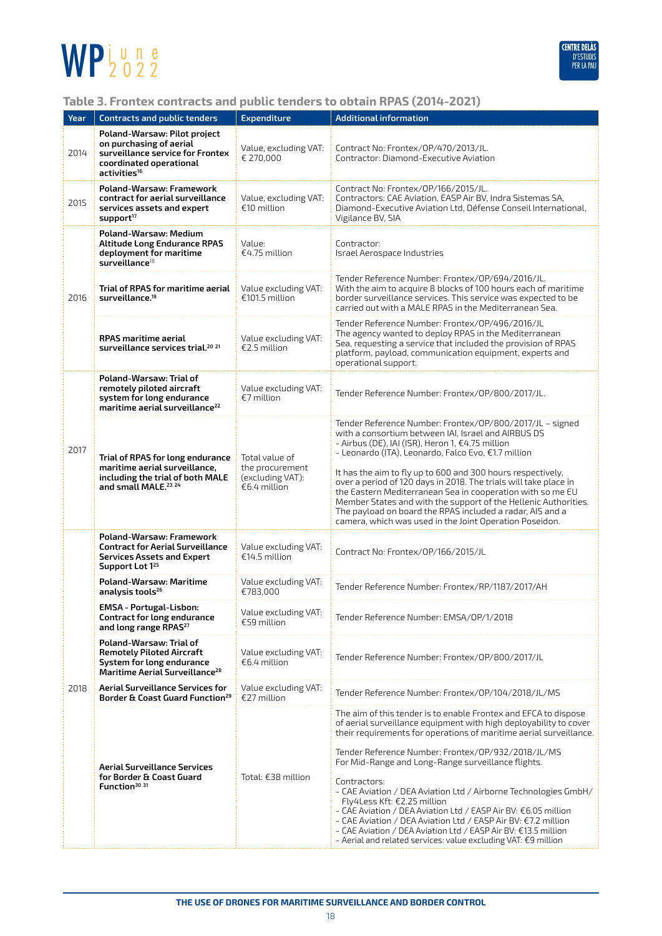

#### **Table 3. Frontex contracts and public tenders to obtain RPAS (2014-2021)**

| Year | <b>Contracts and public tenders</b>                                                                                                                | <b>Expenditure</b>                                                    | <b>Additional information</b>                                                                                                                                                                                                                                                                                                                                                                                                                                                                                                                                                                                                                                                                                     |  |
|------|----------------------------------------------------------------------------------------------------------------------------------------------------|-----------------------------------------------------------------------|-------------------------------------------------------------------------------------------------------------------------------------------------------------------------------------------------------------------------------------------------------------------------------------------------------------------------------------------------------------------------------------------------------------------------------------------------------------------------------------------------------------------------------------------------------------------------------------------------------------------------------------------------------------------------------------------------------------------|--|
| 2014 | Poland-Warsaw: Pilot project<br>on purchasing of aerial<br>surveillance service for Frontex<br>coordinated operational<br>activities <sup>16</sup> | Value, excluding VAT:<br>€ 270,000                                    | Contract No: Frontex/OP/470/2013/JL.<br>Contractor: Diamond-Executive Aviation                                                                                                                                                                                                                                                                                                                                                                                                                                                                                                                                                                                                                                    |  |
| 2015 | Poland-Warsaw: Framework<br>contract for aerial surveillance<br>services assets and expert<br>support <sup>17</sup>                                | Value, excluding VAT:<br>€10 million                                  | Contract No: Frontex/OP/166/2015/JL.<br>Contractors: CAE Aviation, EASP Air BV, Indra Sistemas SA,<br>Diamond-Executive Aviation Ltd, Défense Conseil International,<br>Vigilance BV, SIA                                                                                                                                                                                                                                                                                                                                                                                                                                                                                                                         |  |
| 2016 | Poland-Warsaw: Medium<br><b>Altitude Long Endurance RPAS</b><br>deployment for maritime<br>surveillance <sup>18</sup>                              | Value:<br>€4.75 million                                               | Contractor:<br>Israel Aerospace Industries                                                                                                                                                                                                                                                                                                                                                                                                                                                                                                                                                                                                                                                                        |  |
|      | Trial of RPAS for maritime aerial<br>surveillance. <sup>19</sup>                                                                                   | Value excluding VAT:<br>€101.5 million                                | Tender Reference Number: Frontex/0P/694/2016/JL.<br>With the aim to acquire 8 blocks of 100 hours each of maritime<br>border surveillance services. This service was expected to be<br>carried out with a MALE RPAS in the Mediterranean Sea.                                                                                                                                                                                                                                                                                                                                                                                                                                                                     |  |
|      | <b>RPAS</b> maritime aerial<br>surveillance services trial. <sup>20</sup> <sup>21</sup>                                                            | Value excluding VAT:<br>$£2.5$ million                                | Tender Reference Number: Frontex/0P/496/2016/JL<br>The agency wanted to deploy RPAS in the Mediterranean<br>Sea, requesting a service that included the provision of RPAS<br>platform, payload, communication equipment, experts and<br>operational support.                                                                                                                                                                                                                                                                                                                                                                                                                                                      |  |
| 2017 | Poland-Warsaw: Trial of<br>remotely piloted aircraft<br>system for long endurance<br>maritime aerial surveillance <sup>22</sup>                    | Value excluding VAT:<br>€7 million                                    | Tender Reference Number: Frontex/OP/800/2017/JL.                                                                                                                                                                                                                                                                                                                                                                                                                                                                                                                                                                                                                                                                  |  |
|      | Trial of RPAS for long endurance<br>maritime aerial surveillance,<br>including the trial of both MALE<br>and small MALE. <sup>23</sup> 24          | Total value of<br>the procurement<br>(excluding VAT):<br>€6.4 million | Tender Reference Number: Frontex/OP/800/2017/JL - signed<br>with a consortium between IAI, Israel and AIRBUS DS<br>- Airbus (DE), IAI (ISR), Heron 1, €4.75 million<br>- Leonardo (ITA), Leonardo, Falco Evo, €1.7 million<br>It has the aim to fly up to 600 and 300 hours respectively,<br>over a period of 120 days in 2018. The trials will take place in<br>the Eastern Mediterranean Sea in cooperation with so me EU<br>Member States and with the support of the Hellenic Authorities.<br>The payload on board the RPAS included a radar, AIS and a<br>camera, which was used in the Joint Operation Poseidon.                                                                                            |  |
|      | Poland-Warsaw: Framework<br><b>Contract for Aerial Surveillance</b><br><b>Services Assets and Expert</b><br>Support Lot 125                        | Value excluding VAT:<br>€14.5 million                                 | Contract No: Frontex/OP/166/2015/JL                                                                                                                                                                                                                                                                                                                                                                                                                                                                                                                                                                                                                                                                               |  |
|      | <b>Poland-Warsaw: Maritime</b><br>analysis tools <sup>26</sup>                                                                                     | Value excluding VAT:<br>€783,000                                      | Tender Reference Number: Frontex/RP/1187/2017/AH                                                                                                                                                                                                                                                                                                                                                                                                                                                                                                                                                                                                                                                                  |  |
|      | <b>EMSA</b> - Portugal-Lisbon:<br>Contract for long endurance<br>and long range RPAS <sup>27</sup>                                                 | Value excluding VAT:<br>€59 million                                   | Tender Reference Number: EMSA/OP/1/2018                                                                                                                                                                                                                                                                                                                                                                                                                                                                                                                                                                                                                                                                           |  |
|      | Poland-Warsaw: Trial of<br><b>Remotely Piloted Aircraft</b><br>System for long endurance<br>Maritime Aerial Surveillance <sup>28</sup>             | Value excluding VAT:<br>€6.4 million                                  | Tender Reference Number: Frontex/0P/800/2017/JL                                                                                                                                                                                                                                                                                                                                                                                                                                                                                                                                                                                                                                                                   |  |
| 2018 | <b>Aerial Surveillance Services for</b><br>Border & Coast Guard Function <sup>29</sup>                                                             | Value excluding VAT:<br>€27 million                                   | Tender Reference Number: Frontex/0P/104/2018/JL/MS                                                                                                                                                                                                                                                                                                                                                                                                                                                                                                                                                                                                                                                                |  |
|      | <b>Aerial Surveillance Services</b><br>for Border & Coast Guard<br>Function <sup>30</sup> 31                                                       | Total: €38 million                                                    | The aim of this tender is to enable Frontex and EFCA to dispose<br>of aerial surveillance equipment with high deployability to cover<br>their requirements for operations of maritime aerial surveillance.<br>Tender Reference Number: Frontex/0P/932/2018/JL/MS<br>For Mid-Range and Long-Range surveillance flights.<br>Contractors:<br>- CAE Aviation / DEA Aviation Ltd / Airborne Technologies GmbH/<br>Fly4Less Kft: €2.25 million<br>- CAE Aviation / DEA Aviation Ltd / EASP Air BV: €6.05 million<br>- CAE Aviation / DEA Aviation Ltd / EASP Air BV: €7.2 million<br>- CAE Aviation / DEA Aviation Ltd / EASP Air BV: €13.5 million<br>- Aerial and related services: value excluding VAT: $E9$ million |  |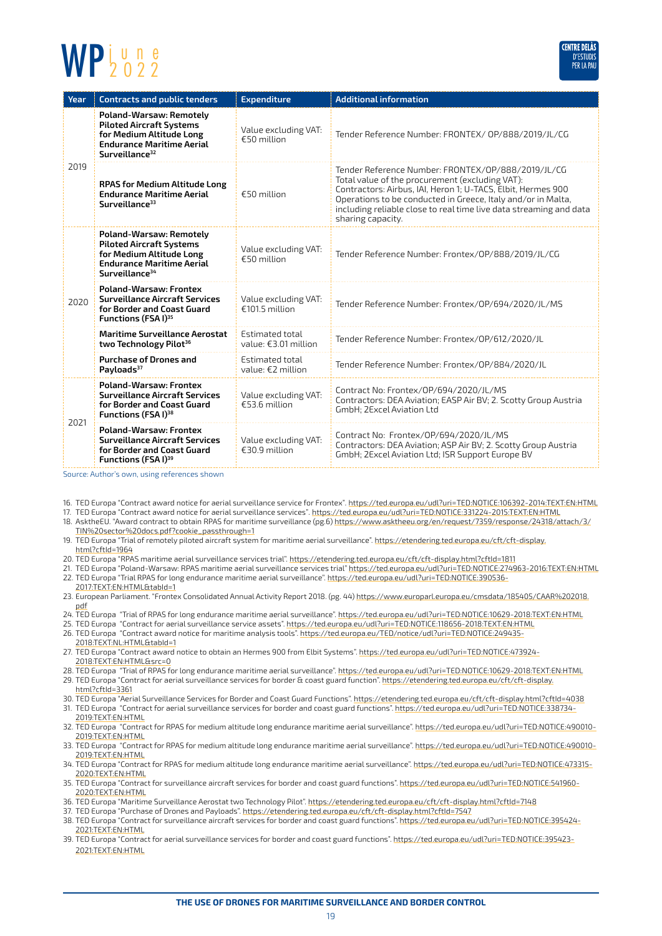

| Year | <b>Contracts and public tenders</b>                                                                                                                      | <b>Expenditure</b>                        | <b>Additional information</b>                                                                                                                                                                                                                                                                                                    |  |
|------|----------------------------------------------------------------------------------------------------------------------------------------------------------|-------------------------------------------|----------------------------------------------------------------------------------------------------------------------------------------------------------------------------------------------------------------------------------------------------------------------------------------------------------------------------------|--|
| 2019 | Poland-Warsaw: Remotely<br><b>Piloted Aircraft Systems</b><br>for Medium Altitude Long<br><b>Endurance Maritime Aerial</b><br>Surveillance <sup>32</sup> | Value excluding VAT:<br>$£50$ million     | Tender Reference Number: FRONTEX/ OP/888/2019/JL/CG                                                                                                                                                                                                                                                                              |  |
|      | <b>RPAS for Medium Altitude Long</b><br><b>Endurance Maritime Aerial</b><br>Surveillance <sup>33</sup>                                                   | $€50$ million                             | Tender Reference Number: FRONTEX/OP/888/2019/JL/CG<br>Total value of the procurement (excluding VAT):<br>Contractors: Airbus, IAI, Heron 1; U-TACS, Elbit, Hermes 900<br>Operations to be conducted in Greece, Italy and/or in Malta,<br>including reliable close to real time live data streaming and data<br>sharing capacity. |  |
| 2020 | Poland-Warsaw: Remotely<br><b>Piloted Aircraft Systems</b><br>for Medium Altitude Long<br><b>Endurance Maritime Aerial</b><br>Surveillance <sup>34</sup> | Value excluding VAT:<br>€50 million       | Tender Reference Number: Frontex/OP/888/2019/JL/CG                                                                                                                                                                                                                                                                               |  |
|      | <b>Poland-Warsaw: Frontex</b><br><b>Surveillance Aircraft Services</b><br>for Border and Coast Guard<br><b>Functions (FSAI)</b> <sup>35</sup>            | Value excluding VAT:<br>$£101.5$ million  | Tender Reference Number: Frontex/0P/694/2020/JL/MS                                                                                                                                                                                                                                                                               |  |
|      | <b>Maritime Surveillance Aerostat</b><br>two Technology Pilot <sup>36</sup>                                                                              | Estimated total<br>value: $£3.01$ million | Tender Reference Number: Frontex/0P/612/2020/JL                                                                                                                                                                                                                                                                                  |  |
|      | <b>Purchase of Drones and</b><br>Payloads <sup>37</sup>                                                                                                  | Estimated total<br>value: $E2$ million    | Tender Reference Number: Frontex/0P/884/2020/JL                                                                                                                                                                                                                                                                                  |  |
| 2021 | <b>Poland-Warsaw: Frontex</b><br><b>Surveillance Aircraft Services</b><br>for Border and Coast Guard<br>Functions (FSAI) <sup>38</sup>                   | Value excluding VAT:<br>€53.6 million     | Contract No: Frontex/OP/694/2020/JL/MS<br>Contractors: DEA Aviation; EASP Air BV; 2. Scotty Group Austria<br>GmbH: 2Excel Aviation Ltd                                                                                                                                                                                           |  |
|      | <b>Poland-Warsaw: Frontex</b><br><b>Surveillance Aircraft Services</b><br>for Border and Coast Guard<br><b>Functions (FSAI)</b> <sup>39</sup>            | Value excluding VAT:<br>$£30.9$ million   | Contract No: Frontex/0P/694/2020/JL/MS<br>Contractors: DEA Aviation; ASP Air BV; 2. Scotty Group Austria<br>GmbH; 2Excel Aviation Ltd; ISR Support Europe BV                                                                                                                                                                     |  |

Source: Author's own, using references shown

16. TED Europa "Contract award notice for aerial surveillance service for Frontex"*.* <https://ted.europa.eu/udl?uri=TED:NOTICE:106392-2014:TEXT:EN:HTML>

17. TED Europa "Contract award notice for aerial surveillance services"*.* <https://ted.europa.eu/udl?uri=TED:NOTICE:331224-2015:TEXT:EN:HTML>

- 18. AsktheEU. "Award contract to obtain RPAS for maritime surveillance (pg.6) [https://www.asktheeu.org/en/request/7359/response/24318/attach/3/](https://www.asktheeu.org/en/request/7359/response/24318/attach/3/TIN sector docs.pdf?cookie_passthrough=1) [TIN%20sector%20docs.pdf?cookie\\_passthrough=1](https://www.asktheeu.org/en/request/7359/response/24318/attach/3/TIN sector docs.pdf?cookie_passthrough=1)
- 19. TED Europa "Trial of remotely piloted aircraft system for maritime aerial surveillance". [https://etendering.ted.europa.eu/cft/cft-display.](https://etendering.ted.europa.eu/cft/cft-display.html?cftId=1964) [html?cftId=1964](https://etendering.ted.europa.eu/cft/cft-display.html?cftId=1964)
- 20. TED Europa "RPAS maritime aerial surveillance services trial".<https://etendering.ted.europa.eu/cft/cft-display.html?cftId=1811>
- 21. TED Europa "Poland-Warsaw: RPAS maritime aerial surveillance services trial" <https://ted.europa.eu/udl?uri=TED:NOTICE:274963-2016:TEXT:EN:HTML>
- 22. TED Europa "Trial RPAS for long endurance maritime aerial surveillance". [https://ted.europa.eu/udl?uri=TED:NOTICE:390536-](https://ted.europa.eu/udl?uri=TED:NOTICE:390536-2017:TEXT:EN:HTML&tabId=1) [2017:TEXT:EN:HTML&tabId=1](https://ted.europa.eu/udl?uri=TED:NOTICE:390536-2017:TEXT:EN:HTML&tabId=1)
- 23. European Parliament. "Frontex Consolidated Annual Activity Report 2018. (pg. 44) [https://www.europarl.europa.eu/cmsdata/185405/CAAR%202018.](https://www.europarl.europa.eu/cmsdata/185405/CAAR 2018.pdf) [pdf](https://www.europarl.europa.eu/cmsdata/185405/CAAR 2018.pdf)
- 24. TED Europa "Trial of RPAS for long endurance maritime aerial surveillance".<https://ted.europa.eu/udl?uri=TED:NOTICE:10629-2018:TEXT:EN:HTML>
- 25. TED Europa "Contract for aerial surveillance service assets". <https://ted.europa.eu/udl?uri=TED:NOTICE:118656-2018:TEXT:EN:HTML>
- 26. TED Europa "Contract award notice for maritime analysis tools". [https://ted.europa.eu/TED/notice/udl?uri=TED:NOTICE:249435-](https://ted.europa.eu/TED/notice/udl?uri=TED:NOTICE:249435-2018:TEXT:NL:HTML&tabId=1)
- [2018:TEXT:NL:HTML&tabId=1](https://ted.europa.eu/TED/notice/udl?uri=TED:NOTICE:249435-2018:TEXT:NL:HTML&tabId=1)
- 27. TED Europa "Contract award notice to obtain an Hermes 900 from Elbit Systems". [https://ted.europa.eu/udl?uri=TED:NOTICE:473924-](https://ted.europa.eu/udl?uri=TED:NOTICE:473924-2018:TEXT:EN:HTML&src=0) [2018:TEXT:EN:HTML&src=0](https://ted.europa.eu/udl?uri=TED:NOTICE:473924-2018:TEXT:EN:HTML&src=0)
- 28. TED Europa "Trial of RPAS for long endurance maritime aerial surveillance". https://ted.europa.eu/udl?uri=TED:NOTICE:10629-2018:TEXT:EN:HTML
- 29. TED Europa "Contract for aerial surveillance services for border & coast guard function". [https://etendering.ted.europa.eu/cft/cft-display.](https://etendering.ted.europa.eu/cft/cft-display.html?cftId=3361) [html?cftId=3361](https://etendering.ted.europa.eu/cft/cft-display.html?cftId=3361)
- 30. TED Europa "Aerial Surveillance Services for Border and Coast Guard Functions".<https://etendering.ted.europa.eu/cft/cft-display.html?cftId=4038> 31. TED Europa "Contract for aerial surveillance services for border and coast guard functions". [https://ted.europa.eu/udl?uri=TED:NOTICE:338734-](https://ted.europa.eu/udl?uri=TED:NOTICE:338734-2019:TEXT:EN:HTML) [2019:TEXT:EN:HTML](https://ted.europa.eu/udl?uri=TED:NOTICE:338734-2019:TEXT:EN:HTML)
- 32. TED Europa "Contract for RPAS for medium altitude long endurance maritime aerial surveillance". [https://ted.europa.eu/udl?uri=TED:NOTICE:490010-](https://ted.europa.eu/udl?uri=TED:NOTICE:490010-2019:TEXT:EN:HTML) [2019:TEXT:EN:HTML](https://ted.europa.eu/udl?uri=TED:NOTICE:490010-2019:TEXT:EN:HTML)
- 33. TED Europa "Contract for RPAS for medium altitude long endurance maritime aerial surveillance". [https://ted.europa.eu/udl?uri=TED:NOTICE:490010-](https://ted.europa.eu/udl?uri=TED:NOTICE:490010-2019:TEXT:EN:HTML) [2019:TEXT:EN:HTML](https://ted.europa.eu/udl?uri=TED:NOTICE:490010-2019:TEXT:EN:HTML)
- 34. TED Europa "Contract for RPAS for medium altitude long endurance maritime aerial surveillance". [https://ted.europa.eu/udl?uri=TED:NOTICE:473315-](https://ted.europa.eu/udl?uri=TED:NOTICE:473315-2020:TEXT:EN:HTML) [2020:TEXT:EN:HTML](https://ted.europa.eu/udl?uri=TED:NOTICE:473315-2020:TEXT:EN:HTML)
- 35. TED Europa "Contract for surveillance aircraft services for border and coast guard functions". [https://ted.europa.eu/udl?uri=TED:NOTICE:541960-](https://ted.europa.eu/udl?uri=TED:NOTICE:541960-2020:TEXT:EN:HTML) [2020:TEXT:EN:HTML](https://ted.europa.eu/udl?uri=TED:NOTICE:541960-2020:TEXT:EN:HTML)
- 36. TED Europa "Maritime Surveillance Aerostat two Technology Pilot".<https://etendering.ted.europa.eu/cft/cft-display.html?cftId=7148>
- 37. TED Europa "Purchase of Drones and Payloads". <https://etendering.ted.europa.eu/cft/cft-display.html?cftId=7547>
- 38. TED Europa "Contract for surveillance aircraft services for border and coast guard functions". [https://ted.europa.eu/udl?uri=TED:NOTICE:395424-](https://ted.europa.eu/udl?uri=TED:NOTICE:395424-2021:TEXT:EN:HTML) [2021:TEXT:EN:HTML](https://ted.europa.eu/udl?uri=TED:NOTICE:395424-2021:TEXT:EN:HTML)
- 39. TED Europa "Contract for aerial surveillance services for border and coast guard functions". [https://ted.europa.eu/udl?uri=TED:NOTICE:395423-](https://ted.europa.eu/udl?uri=TED:NOTICE:395423-2021:TEXT:EN:HTML) [2021:TEXT:EN:HTML](https://ted.europa.eu/udl?uri=TED:NOTICE:395423-2021:TEXT:EN:HTML)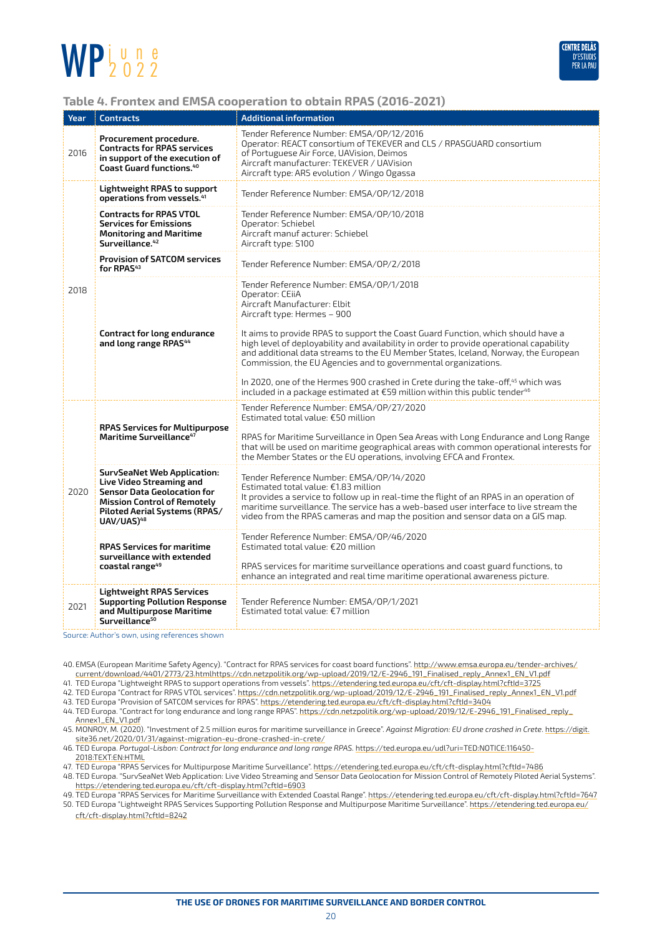

#### **Table 4. Frontex and EMSA cooperation to obtain RPAS (2016-2021)**

| Year | <b>Contracts</b>                                                                                                                    | <b>Additional information</b>                                                                                                                                                                                                                                                                                                                                                                                                             |  |  |
|------|-------------------------------------------------------------------------------------------------------------------------------------|-------------------------------------------------------------------------------------------------------------------------------------------------------------------------------------------------------------------------------------------------------------------------------------------------------------------------------------------------------------------------------------------------------------------------------------------|--|--|
| 2016 | Procurement procedure.<br><b>Contracts for RPAS services</b><br>in support of the execution of<br><b>Coast Guard functions.</b> 40  | Tender Reference Number: EMSA/OP/12/2016<br>Operator: REACT consortium of TEKEVER and CLS / RPASGUARD consortium<br>of Portuguese Air Force, UAVision, Deimos<br>Aircraft manufacturer: TEKEVER / UAVision<br>Aircraft type: AR5 evolution / Wingo Ogassa                                                                                                                                                                                 |  |  |
| 2018 | Lightweight RPAS to support<br>operations from vessels. <sup>41</sup>                                                               | Tender Reference Number: EMSA/0P/12/2018                                                                                                                                                                                                                                                                                                                                                                                                  |  |  |
|      | <b>Contracts for RPAS VTOL</b><br><b>Services for Emissions</b><br><b>Monitoring and Maritime</b><br>Surveillance. <sup>42</sup>    | Tender Reference Number: EMSA/OP/10/2018<br>Operator: Schiebel<br>Aircraft manuf acturer: Schiebel<br>Aircraft type: S100                                                                                                                                                                                                                                                                                                                 |  |  |
|      | <b>Provision of SATCOM services</b><br>for RPAS <sup>43</sup>                                                                       | Tender Reference Number: EMSA/OP/2/2018                                                                                                                                                                                                                                                                                                                                                                                                   |  |  |
|      | Contract for long endurance                                                                                                         | Tender Reference Number: EMSA/OP/1/2018<br>Operator: CEiiA<br>Aircraft Manufacturer: Elbit<br>Aircraft type: Hermes - 900<br>It aims to provide RPAS to support the Coast Guard Function, which should have a                                                                                                                                                                                                                             |  |  |
|      | and long range RPAS <sup>44</sup>                                                                                                   | high level of deployability and availability in order to provide operational capability<br>and additional data streams to the EU Member States, Iceland, Norway, the European<br>Commission, the EU Agencies and to governmental organizations.<br>In 2020, one of the Hermes 900 crashed in Crete during the take-off, <sup>45</sup> which was<br>included in a package estimated at €59 million within this public tender <sup>46</sup> |  |  |
|      |                                                                                                                                     | Tender Reference Number: EMSA/OP/27/2020                                                                                                                                                                                                                                                                                                                                                                                                  |  |  |
|      | <b>RPAS Services for Multipurpose</b>                                                                                               | Estimated total value: €50 million                                                                                                                                                                                                                                                                                                                                                                                                        |  |  |
| 2020 | <b>Maritime Surveillance</b> <sup>47</sup>                                                                                          | RPAS for Maritime Surveillance in Open Sea Areas with Long Endurance and Long Range<br>that will be used on maritime geographical areas with common operational interests for<br>the Member States or the EU operations, involving EFCA and Frontex.                                                                                                                                                                                      |  |  |
|      | <b>SurvSeaNet Web Application:</b><br><b>Live Video Streaming and</b><br>Sensor Data Geolocation for                                | Tender Reference Number: EMSA/0P/14/2020<br>Estimated total value: €1.83 million<br>It provides a service to follow up in real-time the flight of an RPAS in an operation of                                                                                                                                                                                                                                                              |  |  |
|      | <b>Mission Control of Remotely</b><br><b>Piloted Aerial Systems (RPAS/</b><br>UAV/UAS) <sup>48</sup>                                | maritime surveillance. The service has a web-based user interface to live stream the<br>video from the RPAS cameras and map the position and sensor data on a GIS map.                                                                                                                                                                                                                                                                    |  |  |
|      | <b>RPAS Services for maritime</b><br>surveillance with extended                                                                     | Tender Reference Number: EMSA/0P/46/2020<br>Estimated total value: $E20$ million                                                                                                                                                                                                                                                                                                                                                          |  |  |
|      | coastal range <sup>49</sup>                                                                                                         | RPAS services for maritime surveillance operations and coast guard functions, to<br>enhance an integrated and real time maritime operational awareness picture.                                                                                                                                                                                                                                                                           |  |  |
| 2021 | <b>Lightweight RPAS Services</b><br><b>Supporting Pollution Response</b><br>and Multipurpose Maritime<br>Surveillance <sup>50</sup> | Tender Reference Number: EMSA/OP/1/2021<br>Estimated total value: $€7$ million                                                                                                                                                                                                                                                                                                                                                            |  |  |
|      | Source: Author's own, using references shown                                                                                        |                                                                                                                                                                                                                                                                                                                                                                                                                                           |  |  |

40. EMSA (European Maritime Safety Agency). "Contract for RPAS services for coast board functions". [http://www.emsa.europa.eu/tender-archives/](http://www.emsa.europa.eu/tender-archives/current/download/4401/2773/23.htmlhttps://cdn.netzpolitik.org/wp-upload/2019/12/E-2946_191_Finalised_reply_Annex1_EN_V1.pdf) [current/download/4401/2773/23.htmlhttps://cdn.netzpolitik.org/wp-upload/2019/12/E-2946\\_191\\_Finalised\\_reply\\_Annex1\\_EN\\_V1.pdf](http://www.emsa.europa.eu/tender-archives/current/download/4401/2773/23.htmlhttps://cdn.netzpolitik.org/wp-upload/2019/12/E-2946_191_Finalised_reply_Annex1_EN_V1.pdf)

41. TED Europa "Lightweight RPAS to support operations from vessels". <https://etendering.ted.europa.eu/cft/cft-display.html?cftId=3725>

42. TED Europa "Contract for RPAS VTOL services". [https://cdn.netzpolitik.org/wp-upload/2019/12/E-2946\\_191\\_Finalised\\_reply\\_Annex1\\_EN\\_V1.pdf](https://cdn.netzpolitik.org/wp-upload/2019/12/E-2946_191_Finalised_reply_Annex1_EN_V1.pdf) 43. TED Europa "Provision of SATCOM services for RPAS".<https://etendering.ted.europa.eu/cft/cft-display.html?cftId=3404>

- 44. TED Europa. "Contract for long endurance and long range RPAS". [https://cdn.netzpolitik.org/wp-upload/2019/12/E-2946\\_191\\_Finalised\\_reply\\_](https://cdn.netzpolitik.org/wp-upload/2019/12/E-2946_191_Finalised_reply_Annex1_EN_V1.pdf) [Annex1\\_EN\\_V1.pdf](https://cdn.netzpolitik.org/wp-upload/2019/12/E-2946_191_Finalised_reply_Annex1_EN_V1.pdf)
- 45. MONROY, M. (2020). "Investment of 2.5 million euros for maritime surveillance in Greece". *Against Migration: EU drone crashed in Crete*. [https://digit.](https://digit.site36.net/2020/01/31/against-migration-eu-drone-crashed-in-crete/) [site36.net/2020/01/31/against-migration-eu-drone-crashed-in-crete/](https://digit.site36.net/2020/01/31/against-migration-eu-drone-crashed-in-crete/)
- 46. TED Europa. *Portugal-Lisbon: Contract for long endurance and long range RPAS.* [https://ted.europa.eu/udl?uri=TED:NOTICE:116450-](https://ted.europa.eu/udl?uri=TED:NOTICE:116450-2018:TEXT:EN:HTML) [2018:TEXT:EN:HTML](https://ted.europa.eu/udl?uri=TED:NOTICE:116450-2018:TEXT:EN:HTML)

47. TED Europa "RPAS Services for Multipurpose Maritime Surveillance".<https://etendering.ted.europa.eu/cft/cft-display.html?cftId=7486>

- 48. TED Europa. "SurvSeaNet Web Application: Live Video Streaming and Sensor Data Geolocation for Mission Control of Remotely Piloted Aerial Systems". <https://etendering.ted.europa.eu/cft/cft-display.html?cftId=6903>
- 49. TED Europa "RPAS Services for Maritime Surveillance with Extended Coastal Range".<https://etendering.ted.europa.eu/cft/cft-display.html?cftId=7647> 50. TED Europa "Lightweight RPAS Services Supporting Pollution Response and Multipurpose Maritime Surveillance". [https://etendering.ted.europa.eu/](https://etendering.ted.europa.eu/cft/cft-display.html?cftId=8242)
	- [cft/cft-display.html?cftId=8242](https://etendering.ted.europa.eu/cft/cft-display.html?cftId=8242)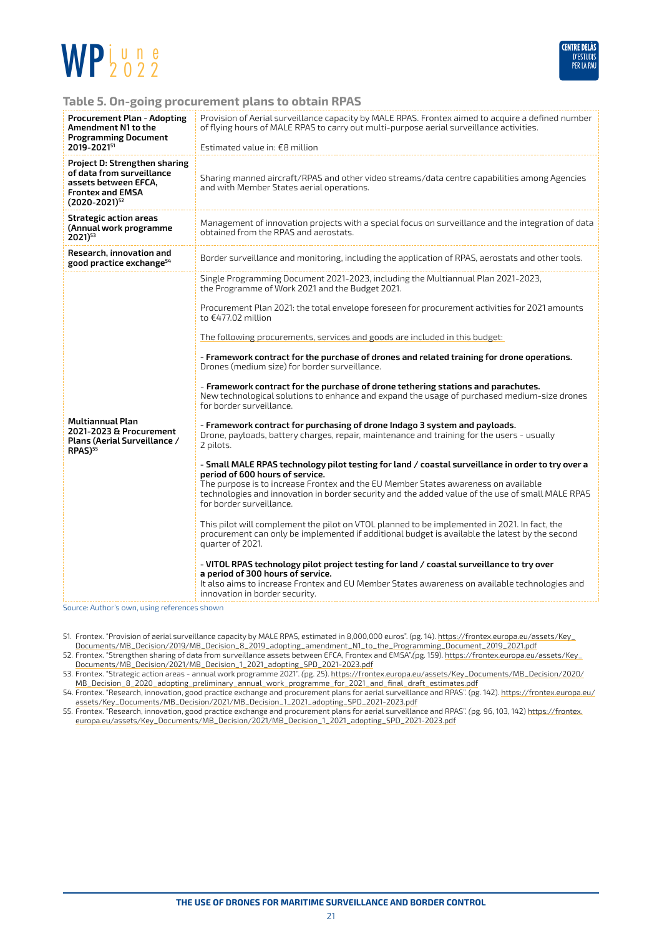



#### **Table 5. On-going procurement plans to obtain RPAS**

| <b>Procurement Plan - Adopting</b><br>Amendment N1 to the<br><b>Programming Document</b><br>2019-202151                                      | Provision of Aerial surveillance capacity by MALE RPAS. Frontex aimed to acquire a defined number<br>of flying hours of MALE RPAS to carry out multi-purpose aerial surveillance activities.<br>Estimated value in: €8 million                                                                                                                             |  |  |  |  |
|----------------------------------------------------------------------------------------------------------------------------------------------|------------------------------------------------------------------------------------------------------------------------------------------------------------------------------------------------------------------------------------------------------------------------------------------------------------------------------------------------------------|--|--|--|--|
| <b>Project D: Strengthen sharing</b><br>of data from surveillance<br>assets between EFCA,<br><b>Frontex and EMSA</b><br>$(2020 - 2021)^{52}$ | Sharing manned aircraft/RPAS and other video streams/data centre capabilities among Agencies<br>and with Member States aerial operations.                                                                                                                                                                                                                  |  |  |  |  |
| Strategic action areas<br>(Annual work programme<br>$2021)^{53}$                                                                             | Management of innovation projects with a special focus on surveillance and the integration of data<br>obtained from the RPAS and aerostats.                                                                                                                                                                                                                |  |  |  |  |
| Research, innovation and<br>good practice exchange <sup>54</sup>                                                                             | Border surveillance and monitoring, including the application of RPAS, aerostats and other tools.                                                                                                                                                                                                                                                          |  |  |  |  |
|                                                                                                                                              | Single Programming Document 2021-2023, including the Multiannual Plan 2021-2023,<br>the Programme of Work 2021 and the Budget 2021.                                                                                                                                                                                                                        |  |  |  |  |
|                                                                                                                                              | Procurement Plan 2021: the total envelope foreseen for procurement activities for 2021 amounts<br>to €477.02 million                                                                                                                                                                                                                                       |  |  |  |  |
|                                                                                                                                              | The following procurements, services and goods are included in this budget:                                                                                                                                                                                                                                                                                |  |  |  |  |
|                                                                                                                                              | - Framework contract for the purchase of drones and related training for drone operations.<br>Drones (medium size) for border surveillance.                                                                                                                                                                                                                |  |  |  |  |
|                                                                                                                                              | - Framework contract for the purchase of drone tethering stations and parachutes.<br>New technological solutions to enhance and expand the usage of purchased medium-size drones<br>for border surveillance.                                                                                                                                               |  |  |  |  |
| <b>Multiannual Plan</b><br>2021-2023 & Procurement<br>Plans (Aerial Surveillance /<br><b>RPAS)</b> <sup>55</sup>                             | - Framework contract for purchasing of drone Indago 3 system and payloads.<br>Drone, payloads, battery charges, repair, maintenance and training for the users - usually<br>2 pilots.                                                                                                                                                                      |  |  |  |  |
|                                                                                                                                              | - Small MALE RPAS technology pilot testing for land / coastal surveillance in order to try over a<br>period of 600 hours of service.<br>The purpose is to increase Frontex and the EU Member States awareness on available<br>technologies and innovation in border security and the added value of the use of small MALE RPAS<br>for border surveillance. |  |  |  |  |
|                                                                                                                                              | This pilot will complement the pilot on VTOL planned to be implemented in 2021. In fact, the<br>procurement can only be implemented if additional budget is available the latest by the second<br>quarter of 2021.                                                                                                                                         |  |  |  |  |
|                                                                                                                                              | - VITOL RPAS technology pilot project testing for land / coastal surveillance to try over<br>a period of 300 hours of service.<br>It also aims to increase Frontex and EU Member States awareness on available technologies and<br>innovation in border security.                                                                                          |  |  |  |  |
| Source: Author's own, using references shown                                                                                                 |                                                                                                                                                                                                                                                                                                                                                            |  |  |  |  |

51. Frontex. "Provision of aerial surveillance capacity by MALE RPAS, estimated in 8,000,000 euros". (pg. 14). [https://frontex.europa.eu/assets/Key\\_](https://frontex.europa.eu/assets/Key_Documents/MB_Decision/2019/MB_Decision_8_2019_adopting_amendment_N1_to_the_Programming_Document_2019_2021.pdf) [Documents/MB\\_Decision/2019/MB\\_Decision\\_8\\_2019\\_adopting\\_amendment\\_N1\\_to\\_the\\_Programming\\_Document\\_2019\\_2021.pdf](https://frontex.europa.eu/assets/Key_Documents/MB_Decision/2019/MB_Decision_8_2019_adopting_amendment_N1_to_the_Programming_Document_2019_2021.pdf)

52. Frontex. "Strengthen sharing of data from surveillance assets between EFCA, Frontex and EMSA".*(*pg. 159). [https://frontex.europa.eu/assets/Key\\_](https://frontex.europa.eu/assets/Key_Documents/MB_Decision/2021/MB_Decision_1_2021_adopting_SPD_2021-2023.pdf) [Documents/MB\\_Decision/2021/MB\\_Decision\\_1\\_2021\\_adopting\\_SPD\\_2021-2023.pdf](https://frontex.europa.eu/assets/Key_Documents/MB_Decision/2021/MB_Decision_1_2021_adopting_SPD_2021-2023.pdf)

53. Frontex. "Strategic action areas - annual work programme 2021". *(*pg. 25). [https://frontex.europa.eu/assets/Key\\_Documents/MB\\_Decision/2020/](https://frontex.europa.eu/assets/Key_Documents/MB_Decision/2020/MB_Decision_8_2020_adopting_preliminary_annual_work_programme_for_2021_and_final_draft_estimates.pdf) [MB\\_Decision\\_8\\_2020\\_adopting\\_preliminary\\_annual\\_work\\_programme\\_for\\_2021\\_and\\_final\\_draft\\_estimates.pdf](https://frontex.europa.eu/assets/Key_Documents/MB_Decision/2020/MB_Decision_8_2020_adopting_preliminary_annual_work_programme_for_2021_and_final_draft_estimates.pdf)

54. Frontex. "Research, innovation, good practice exchange and procurement plans for aerial surveillance and RPAS". (pg. 142). [https://frontex.europa.eu/](https://frontex.europa.eu/assets/Key_Documents/MB_Decision/2021/MB_Decision_1_2021_adopting_SPD_2021-2023.pdf) [assets/Key\\_Documents/MB\\_Decision/2021/MB\\_Decision\\_1\\_2021\\_adopting\\_SPD\\_2021-2023.pdf](https://frontex.europa.eu/assets/Key_Documents/MB_Decision/2021/MB_Decision_1_2021_adopting_SPD_2021-2023.pdf)

55. Frontex. "Research, innovation, good practice exchange and procurement plans for aerial surveillance and RPAS". *(*pg. 96, 103, 142) [https://frontex.](https://frontex.europa.eu/assets/Key_Documents/MB_Decision/2021/MB_Decision_1_2021_adopting_SPD_2021-2023.pdf) [europa.eu/assets/Key\\_Documents/MB\\_Decision/2021/MB\\_Decision\\_1\\_2021\\_adopting\\_SPD\\_2021-2023.pdf](https://frontex.europa.eu/assets/Key_Documents/MB_Decision/2021/MB_Decision_1_2021_adopting_SPD_2021-2023.pdf)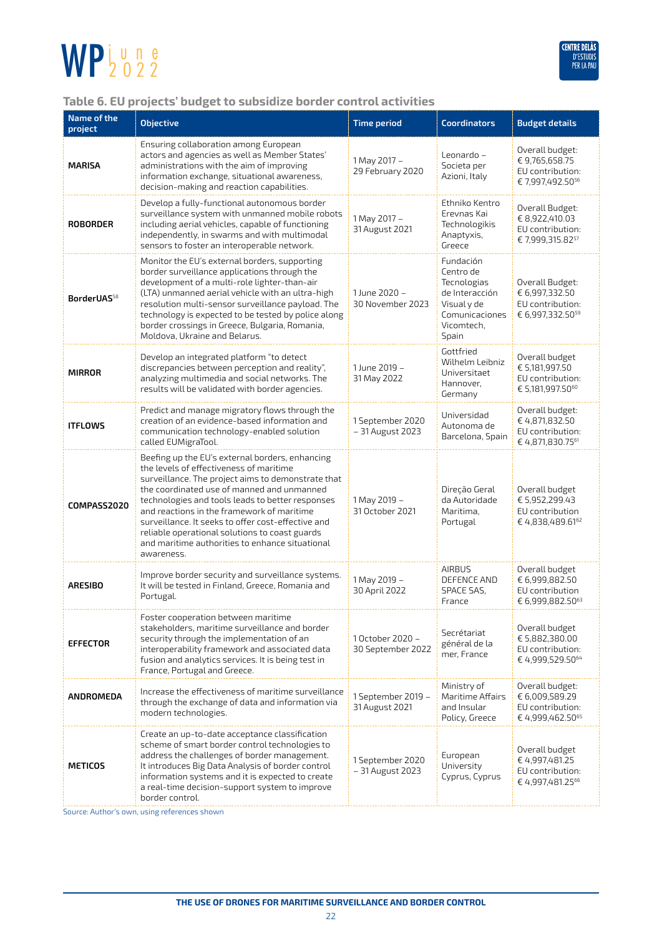

#### **Table 6. EU projects' budget to subsidize border control activities**

| Name of the<br>project  | <b>Objective</b>                                                                                                                                                                                                                                                                                                                                                                                                                                                          | <b>Time period</b>                    | <b>Coordinators</b>                                                                                             | <b>Budget details</b>                                                                 |
|-------------------------|---------------------------------------------------------------------------------------------------------------------------------------------------------------------------------------------------------------------------------------------------------------------------------------------------------------------------------------------------------------------------------------------------------------------------------------------------------------------------|---------------------------------------|-----------------------------------------------------------------------------------------------------------------|---------------------------------------------------------------------------------------|
| <b>MARISA</b>           | Ensuring collaboration among European<br>actors and agencies as well as Member States'<br>administrations with the aim of improving<br>information exchange, situational awareness,<br>decision-making and reaction capabilities.                                                                                                                                                                                                                                         | 1 May 2017 -<br>29 February 2020      | Leonardo –<br>Societa per<br>Azioni, Italy                                                                      | Overall budget:<br>€ 9,765,658.75<br>EU contribution:<br>€ 7,997,492.50 <sup>56</sup> |
| <b>ROBORDER</b>         | Develop a fully-functional autonomous border<br>surveillance system with unmanned mobile robots<br>including aerial vehicles, capable of functioning<br>independently, in swarms and with multimodal<br>sensors to foster an interoperable network.                                                                                                                                                                                                                       | 1 May 2017 -<br>31 August 2021        | Ethniko Kentro<br>Erevnas Kai<br>Technologikis<br>Anaptyxis,<br>Greece                                          | Overall Budget:<br>€ 8,922,410.03<br>EU contribution:<br>€ 7,999,315.8257             |
| BorderUAS <sup>58</sup> | Monitor the EU's external borders, supporting<br>border surveillance applications through the<br>development of a multi-role lighter-than-air<br>(LTA) unmanned aerial vehicle with an ultra-high<br>resolution multi-sensor surveillance payload. The<br>technology is expected to be tested by police along<br>border crossings in Greece, Bulgaria, Romania,<br>Moldova, Ukraine and Belarus.                                                                          | 1 June 2020 -<br>30 November 2023     | Fundación<br>Centro de<br>Tecnologias<br>de Interacción<br>Visual y de<br>Comunicaciones<br>Vicomtech,<br>Spain | Overall Budget:<br>€ 6,997,332.50<br>EU contribution:<br>€ 6,997,332.50 <sup>59</sup> |
| <b>MIRROR</b>           | Develop an integrated platform "to detect<br>discrepancies between perception and reality",<br>analyzing multimedia and social networks. The<br>results will be validated with border agencies.                                                                                                                                                                                                                                                                           | 1 June 2019 -<br>31 May 2022          | Gottfried<br>Wilhelm Leibniz<br>Universitaet<br>Hannover,<br>Germany                                            | Overall budget<br>€ 5,181,997.50<br>EU contribution:<br>€ 5,181,997.5060              |
| <b>ITFLOWS</b>          | Predict and manage migratory flows through the<br>creation of an evidence-based information and<br>communication technology-enabled solution<br>called EUMigraTool.                                                                                                                                                                                                                                                                                                       | 1 September 2020<br>- 31 August 2023  | Universidad<br>Autonoma de<br>Barcelona, Spain                                                                  | Overall budget:<br>€4,871,832.50<br>EU contribution:<br>€ 4,871,830.7561              |
| COMPASS2020             | Beefing up the EU's external borders, enhancing<br>the levels of effectiveness of maritime<br>surveillance. The project aims to demonstrate that<br>the coordinated use of manned and unmanned<br>technologies and tools leads to better responses<br>and reactions in the framework of maritime<br>surveillance. It seeks to offer cost-effective and<br>reliable operational solutions to coast guards<br>and maritime authorities to enhance situational<br>awareness. | 1 May 2019 -<br>31 October 2021       | Direção Geral<br>da Autoridade<br>Maritima,<br>Portugal                                                         | Overall budget<br>€ 5,952,299.43<br>EU contribution<br>€4,838,489.6162                |
| <b>ARESIBO</b>          | Improve border security and surveillance systems.<br>It will be tested in Finland, Greece, Romania and<br>Portugal.                                                                                                                                                                                                                                                                                                                                                       | 1 May 2019 -<br>30 April 2022         | <b>AIRBUS</b><br>DEFENCE AND<br><b>SPACE SAS,</b><br>France                                                     | Overall budget<br>€ 6,999,882.50<br>EU contribution<br>€ 6,999,882.5063               |
| <b>EFFECTOR</b>         | Foster cooperation between maritime<br>stakeholders, maritime surveillance and border<br>security through the implementation of an<br>interoperability framework and associated data<br>fusion and analytics services. It is being test in<br>France, Portugal and Greece.                                                                                                                                                                                                | 1 October 2020 -<br>30 September 2022 | Secrétariat<br>général de la<br>mer, France                                                                     | Overall budget<br>€ 5,882,380.00<br>EU contribution:<br>€ 4,999,529.50 <sup>64</sup>  |
| ANDROMEDA               | Increase the effectiveness of maritime surveillance<br>through the exchange of data and information via<br>modern technologies.                                                                                                                                                                                                                                                                                                                                           | 1 September 2019 -<br>31 August 2021  | Ministry of<br>Maritime Affairs<br>and Insular<br>Policy, Greece                                                | Overall budget:<br>€ 6,009,589.29<br>EU contribution:<br>€4,999,462.50 <sup>65</sup>  |
| <b>METICOS</b>          | Create an up-to-date acceptance classification<br>scheme of smart border control technologies to<br>address the challenges of border management.<br>It introduces Big Data Analysis of border control<br>information systems and it is expected to create<br>a real-time decision-support system to improve<br>border control.                                                                                                                                            | 1 September 2020<br>- 31 August 2023  | European<br>University<br>Cyprus, Cyprus                                                                        | Overall budget<br>€4,997,481.25<br>EU contribution:<br>€ 4,997,481.25 <sup>66</sup>   |

vurce: Author's own, using references shown